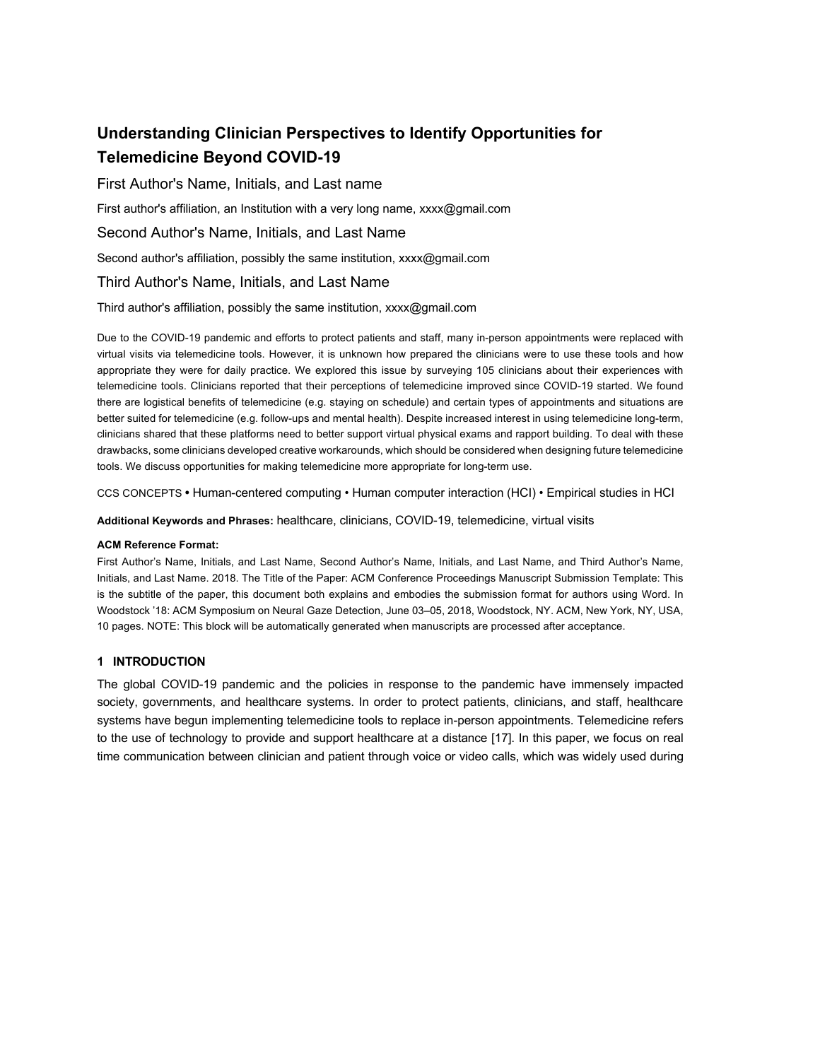# **Understanding Clinician Perspectives to Identify Opportunities for Telemedicine Beyond COVID-19**

# First Author's Name, Initials, and Last name

First author's affiliation, an Institution with a very long name, xxxx@gmail.com

## Second Author's Name, Initials, and Last Name

Second author's affiliation, possibly the same institution, xxxx@gmail.com

# Third Author's Name, Initials, and Last Name

#### Third author's affiliation, possibly the same institution, xxxx@gmail.com

Due to the COVID-19 pandemic and efforts to protect patients and staff, many in-person appointments were replaced with virtual visits via telemedicine tools. However, it is unknown how prepared the clinicians were to use these tools and how appropriate they were for daily practice. We explored this issue by surveying 105 clinicians about their experiences with telemedicine tools. Clinicians reported that their perceptions of telemedicine improved since COVID-19 started. We found there are logistical benefits of telemedicine (e.g. staying on schedule) and certain types of appointments and situations are better suited for telemedicine (e.g. follow-ups and mental health). Despite increased interest in using telemedicine long-term, clinicians shared that these platforms need to better support virtual physical exams and rapport building. To deal with these drawbacks, some clinicians developed creative workarounds, which should be considered when designing future telemedicine tools. We discuss opportunities for making telemedicine more appropriate for long-term use.

CCS CONCEPTS **•** Human-centered computing • Human computer interaction (HCI) • Empirical studies in HCI

**Additional Keywords and Phrases:** healthcare, clinicians, COVID-19, telemedicine, virtual visits

## **ACM Reference Format:**

First Author's Name, Initials, and Last Name, Second Author's Name, Initials, and Last Name, and Third Author's Name, Initials, and Last Name. 2018. The Title of the Paper: ACM Conference Proceedings Manuscript Submission Template: This is the subtitle of the paper, this document both explains and embodies the submission format for authors using Word. In Woodstock '18: ACM Symposium on Neural Gaze Detection, June 03–05, 2018, Woodstock, NY. ACM, New York, NY, USA, 10 pages. NOTE: This block will be automatically generated when manuscripts are processed after acceptance.

## **1 INTRODUCTION**

The global COVID-19 pandemic and the policies in response to the pandemic have immensely impacted society, governments, and healthcare systems. In order to protect patients, clinicians, and staff, healthcare systems have begun implementing telemedicine tools to replace in-person appointments. Telemedicine refers to the use of technology to provide and support healthcare at a distance [17]. In this paper, we focus on real time communication between clinician and patient through voice or video calls, which was widely used during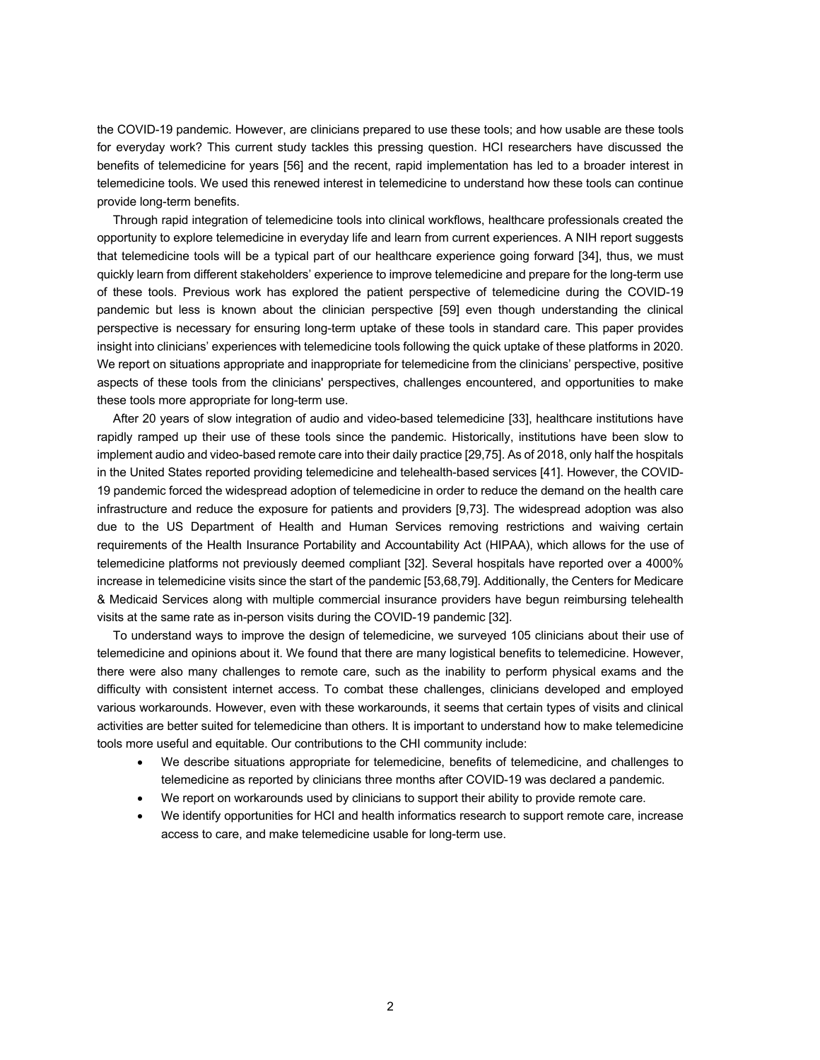the COVID-19 pandemic. However, are clinicians prepared to use these tools; and how usable are these tools for everyday work? This current study tackles this pressing question. HCI researchers have discussed the benefits of telemedicine for years [56] and the recent, rapid implementation has led to a broader interest in telemedicine tools. We used this renewed interest in telemedicine to understand how these tools can continue provide long-term benefits.

Through rapid integration of telemedicine tools into clinical workflows, healthcare professionals created the opportunity to explore telemedicine in everyday life and learn from current experiences. A NIH report suggests that telemedicine tools will be a typical part of our healthcare experience going forward [34], thus, we must quickly learn from different stakeholders' experience to improve telemedicine and prepare for the long-term use of these tools. Previous work has explored the patient perspective of telemedicine during the COVID-19 pandemic but less is known about the clinician perspective [59] even though understanding the clinical perspective is necessary for ensuring long-term uptake of these tools in standard care. This paper provides insight into clinicians' experiences with telemedicine tools following the quick uptake of these platforms in 2020. We report on situations appropriate and inappropriate for telemedicine from the clinicians' perspective, positive aspects of these tools from the clinicians' perspectives, challenges encountered, and opportunities to make these tools more appropriate for long-term use.

After 20 years of slow integration of audio and video-based telemedicine [33], healthcare institutions have rapidly ramped up their use of these tools since the pandemic. Historically, institutions have been slow to implement audio and video-based remote care into their daily practice [29,75]. As of 2018, only half the hospitals in the United States reported providing telemedicine and telehealth-based services [41]. However, the COVID-19 pandemic forced the widespread adoption of telemedicine in order to reduce the demand on the health care infrastructure and reduce the exposure for patients and providers [9,73]. The widespread adoption was also due to the US Department of Health and Human Services removing restrictions and waiving certain requirements of the Health Insurance Portability and Accountability Act (HIPAA), which allows for the use of telemedicine platforms not previously deemed compliant [32]. Several hospitals have reported over a 4000% increase in telemedicine visits since the start of the pandemic [53,68,79]. Additionally, the Centers for Medicare & Medicaid Services along with multiple commercial insurance providers have begun reimbursing telehealth visits at the same rate as in-person visits during the COVID-19 pandemic [32].

To understand ways to improve the design of telemedicine, we surveyed 105 clinicians about their use of telemedicine and opinions about it. We found that there are many logistical benefits to telemedicine. However, there were also many challenges to remote care, such as the inability to perform physical exams and the difficulty with consistent internet access. To combat these challenges, clinicians developed and employed various workarounds. However, even with these workarounds, it seems that certain types of visits and clinical activities are better suited for telemedicine than others. It is important to understand how to make telemedicine tools more useful and equitable. Our contributions to the CHI community include:

- We describe situations appropriate for telemedicine, benefits of telemedicine, and challenges to telemedicine as reported by clinicians three months after COVID-19 was declared a pandemic.
- We report on workarounds used by clinicians to support their ability to provide remote care.
- We identify opportunities for HCI and health informatics research to support remote care, increase access to care, and make telemedicine usable for long-term use.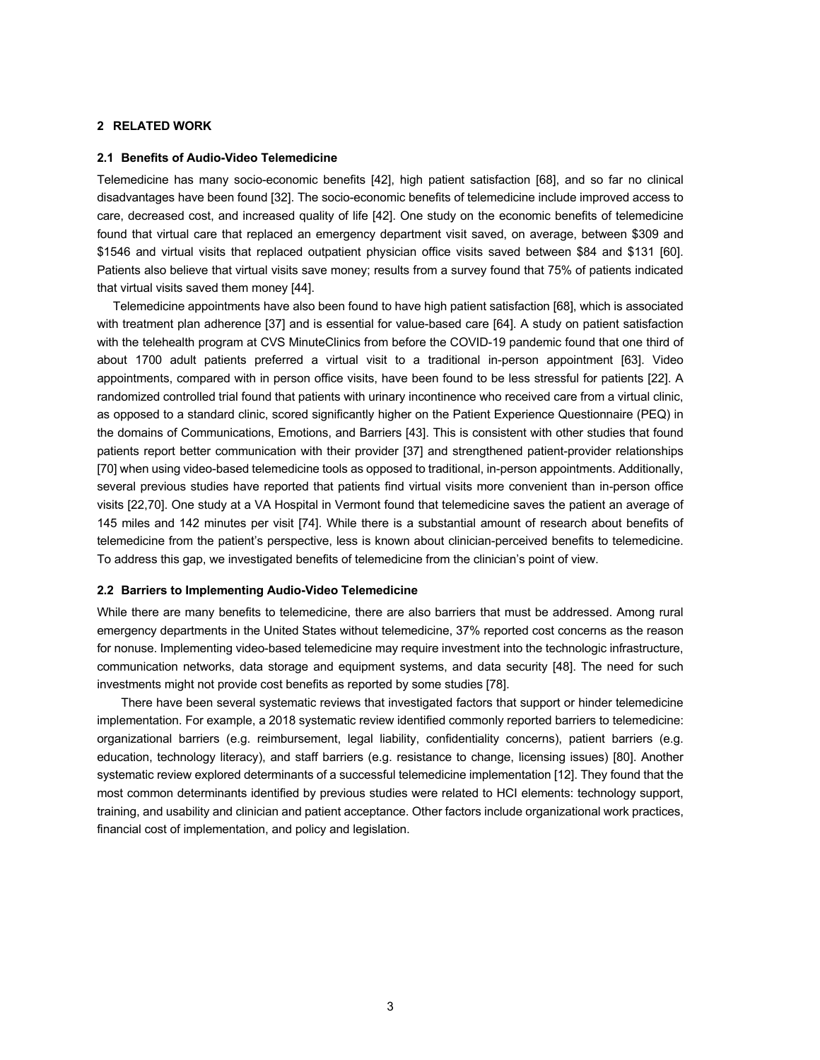#### **2 RELATED WORK**

#### **2.1 Benefits of Audio-Video Telemedicine**

Telemedicine has many socio-economic benefits [42], high patient satisfaction [68], and so far no clinical disadvantages have been found [32]. The socio-economic benefits of telemedicine include improved access to care, decreased cost, and increased quality of life [42]. One study on the economic benefits of telemedicine found that virtual care that replaced an emergency department visit saved, on average, between \$309 and \$1546 and virtual visits that replaced outpatient physician office visits saved between \$84 and \$131 [60]. Patients also believe that virtual visits save money; results from a survey found that 75% of patients indicated that virtual visits saved them money [44].

Telemedicine appointments have also been found to have high patient satisfaction [68], which is associated with treatment plan adherence [37] and is essential for value-based care [64]. A study on patient satisfaction with the telehealth program at CVS MinuteClinics from before the COVID-19 pandemic found that one third of about 1700 adult patients preferred a virtual visit to a traditional in-person appointment [63]. Video appointments, compared with in person office visits, have been found to be less stressful for patients [22]. A randomized controlled trial found that patients with urinary incontinence who received care from a virtual clinic, as opposed to a standard clinic, scored significantly higher on the Patient Experience Questionnaire (PEQ) in the domains of Communications, Emotions, and Barriers [43]. This is consistent with other studies that found patients report better communication with their provider [37] and strengthened patient-provider relationships [70] when using video-based telemedicine tools as opposed to traditional, in-person appointments. Additionally, several previous studies have reported that patients find virtual visits more convenient than in-person office visits [22,70]. One study at a VA Hospital in Vermont found that telemedicine saves the patient an average of 145 miles and 142 minutes per visit [74]. While there is a substantial amount of research about benefits of telemedicine from the patient's perspective, less is known about clinician-perceived benefits to telemedicine. To address this gap, we investigated benefits of telemedicine from the clinician's point of view.

#### **2.2 Barriers to Implementing Audio-Video Telemedicine**

While there are many benefits to telemedicine, there are also barriers that must be addressed. Among rural emergency departments in the United States without telemedicine, 37% reported cost concerns as the reason for nonuse. Implementing video-based telemedicine may require investment into the technologic infrastructure, communication networks, data storage and equipment systems, and data security [48]. The need for such investments might not provide cost benefits as reported by some studies [78].

There have been several systematic reviews that investigated factors that support or hinder telemedicine implementation. For example, a 2018 systematic review identified commonly reported barriers to telemedicine: organizational barriers (e.g. reimbursement, legal liability, confidentiality concerns), patient barriers (e.g. education, technology literacy), and staff barriers (e.g. resistance to change, licensing issues) [80]. Another systematic review explored determinants of a successful telemedicine implementation [12]. They found that the most common determinants identified by previous studies were related to HCI elements: technology support, training, and usability and clinician and patient acceptance. Other factors include organizational work practices, financial cost of implementation, and policy and legislation.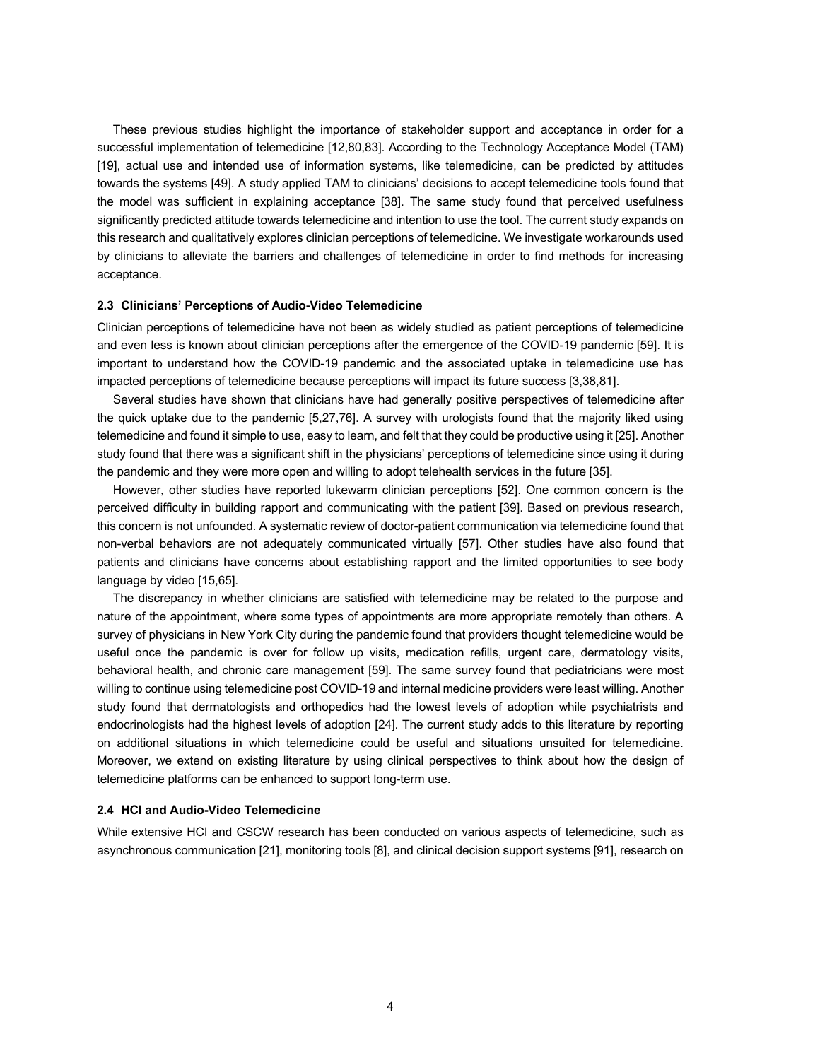These previous studies highlight the importance of stakeholder support and acceptance in order for a successful implementation of telemedicine [12,80,83]. According to the Technology Acceptance Model (TAM) [19], actual use and intended use of information systems, like telemedicine, can be predicted by attitudes towards the systems [49]. A study applied TAM to clinicians' decisions to accept telemedicine tools found that the model was sufficient in explaining acceptance [38]. The same study found that perceived usefulness significantly predicted attitude towards telemedicine and intention to use the tool. The current study expands on this research and qualitatively explores clinician perceptions of telemedicine. We investigate workarounds used by clinicians to alleviate the barriers and challenges of telemedicine in order to find methods for increasing acceptance.

#### **2.3 Clinicians' Perceptions of Audio-Video Telemedicine**

Clinician perceptions of telemedicine have not been as widely studied as patient perceptions of telemedicine and even less is known about clinician perceptions after the emergence of the COVID-19 pandemic [59]. It is important to understand how the COVID-19 pandemic and the associated uptake in telemedicine use has impacted perceptions of telemedicine because perceptions will impact its future success [3,38,81].

Several studies have shown that clinicians have had generally positive perspectives of telemedicine after the quick uptake due to the pandemic [5,27,76]. A survey with urologists found that the majority liked using telemedicine and found it simple to use, easy to learn, and felt that they could be productive using it [25]. Another study found that there was a significant shift in the physicians' perceptions of telemedicine since using it during the pandemic and they were more open and willing to adopt telehealth services in the future [35].

However, other studies have reported lukewarm clinician perceptions [52]. One common concern is the perceived difficulty in building rapport and communicating with the patient [39]. Based on previous research, this concern is not unfounded. A systematic review of doctor-patient communication via telemedicine found that non-verbal behaviors are not adequately communicated virtually [57]. Other studies have also found that patients and clinicians have concerns about establishing rapport and the limited opportunities to see body language by video [15,65].

The discrepancy in whether clinicians are satisfied with telemedicine may be related to the purpose and nature of the appointment, where some types of appointments are more appropriate remotely than others. A survey of physicians in New York City during the pandemic found that providers thought telemedicine would be useful once the pandemic is over for follow up visits, medication refills, urgent care, dermatology visits, behavioral health, and chronic care management [59]. The same survey found that pediatricians were most willing to continue using telemedicine post COVID-19 and internal medicine providers were least willing. Another study found that dermatologists and orthopedics had the lowest levels of adoption while psychiatrists and endocrinologists had the highest levels of adoption [24]. The current study adds to this literature by reporting on additional situations in which telemedicine could be useful and situations unsuited for telemedicine. Moreover, we extend on existing literature by using clinical perspectives to think about how the design of telemedicine platforms can be enhanced to support long-term use.

#### **2.4 HCI and Audio-Video Telemedicine**

While extensive HCI and CSCW research has been conducted on various aspects of telemedicine, such as asynchronous communication [21], monitoring tools [8], and clinical decision support systems [91], research on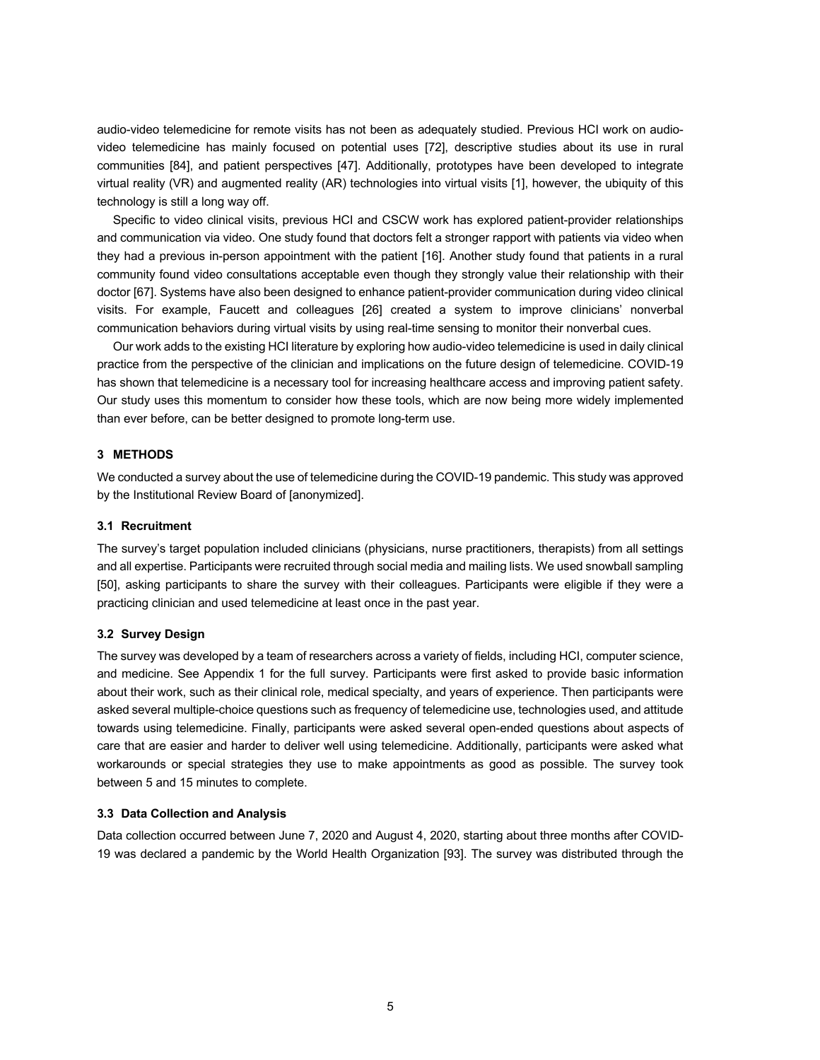audio-video telemedicine for remote visits has not been as adequately studied. Previous HCI work on audiovideo telemedicine has mainly focused on potential uses [72], descriptive studies about its use in rural communities [84], and patient perspectives [47]. Additionally, prototypes have been developed to integrate virtual reality (VR) and augmented reality (AR) technologies into virtual visits [1], however, the ubiquity of this technology is still a long way off.

Specific to video clinical visits, previous HCI and CSCW work has explored patient-provider relationships and communication via video. One study found that doctors felt a stronger rapport with patients via video when they had a previous in-person appointment with the patient [16]. Another study found that patients in a rural community found video consultations acceptable even though they strongly value their relationship with their doctor [67]. Systems have also been designed to enhance patient-provider communication during video clinical visits. For example, Faucett and colleagues [26] created a system to improve clinicians' nonverbal communication behaviors during virtual visits by using real-time sensing to monitor their nonverbal cues.

Our work adds to the existing HCI literature by exploring how audio-video telemedicine is used in daily clinical practice from the perspective of the clinician and implications on the future design of telemedicine. COVID-19 has shown that telemedicine is a necessary tool for increasing healthcare access and improving patient safety. Our study uses this momentum to consider how these tools, which are now being more widely implemented than ever before, can be better designed to promote long-term use.

#### **3 METHODS**

We conducted a survey about the use of telemedicine during the COVID-19 pandemic. This study was approved by the Institutional Review Board of [anonymized].

#### **3.1 Recruitment**

The survey's target population included clinicians (physicians, nurse practitioners, therapists) from all settings and all expertise. Participants were recruited through social media and mailing lists. We used snowball sampling [50], asking participants to share the survey with their colleagues. Participants were eligible if they were a practicing clinician and used telemedicine at least once in the past year.

#### **3.2 Survey Design**

The survey was developed by a team of researchers across a variety of fields, including HCI, computer science, and medicine. See Appendix 1 for the full survey. Participants were first asked to provide basic information about their work, such as their clinical role, medical specialty, and years of experience. Then participants were asked several multiple-choice questions such as frequency of telemedicine use, technologies used, and attitude towards using telemedicine. Finally, participants were asked several open-ended questions about aspects of care that are easier and harder to deliver well using telemedicine. Additionally, participants were asked what workarounds or special strategies they use to make appointments as good as possible. The survey took between 5 and 15 minutes to complete.

#### **3.3 Data Collection and Analysis**

Data collection occurred between June 7, 2020 and August 4, 2020, starting about three months after COVID-19 was declared a pandemic by the World Health Organization [93]. The survey was distributed through the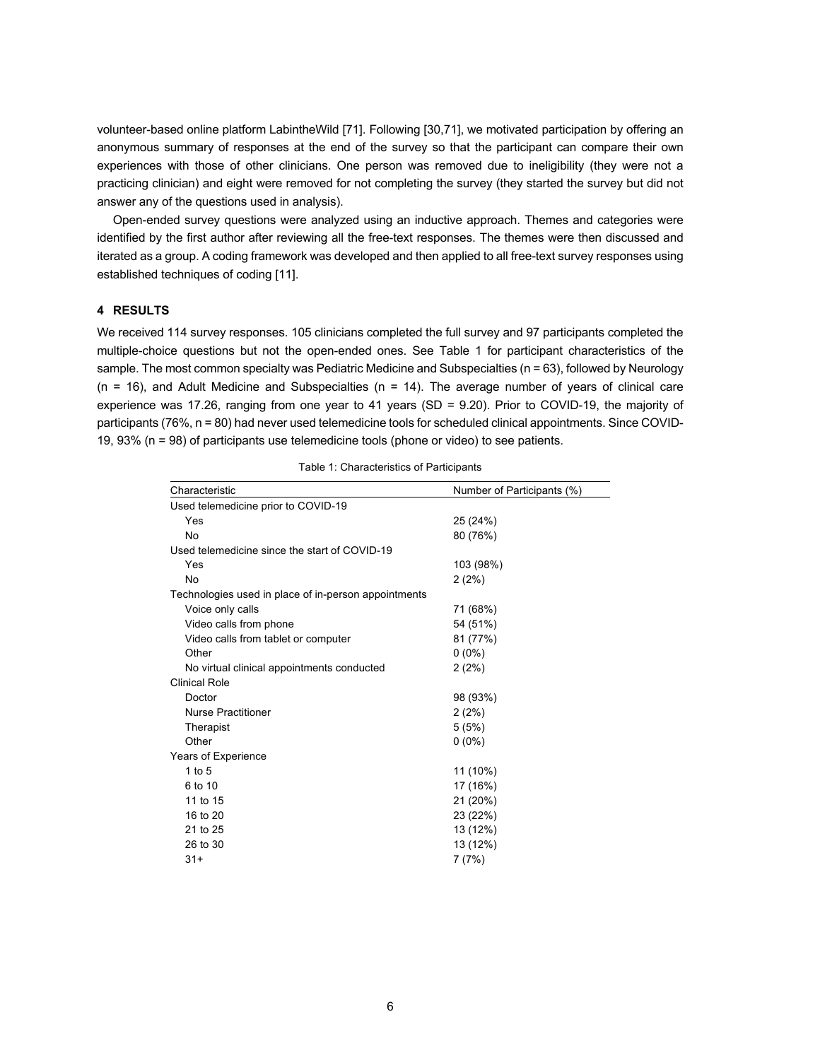volunteer-based online platform LabintheWild [71]. Following [30,71], we motivated participation by offering an anonymous summary of responses at the end of the survey so that the participant can compare their own experiences with those of other clinicians. One person was removed due to ineligibility (they were not a practicing clinician) and eight were removed for not completing the survey (they started the survey but did not answer any of the questions used in analysis).

Open-ended survey questions were analyzed using an inductive approach. Themes and categories were identified by the first author after reviewing all the free-text responses. The themes were then discussed and iterated as a group. A coding framework was developed and then applied to all free-text survey responses using established techniques of coding [11].

## **4 RESULTS**

We received 114 survey responses. 105 clinicians completed the full survey and 97 participants completed the multiple-choice questions but not the open-ended ones. See Table 1 for participant characteristics of the sample. The most common specialty was Pediatric Medicine and Subspecialties (n = 63), followed by Neurology  $(n = 16)$ , and Adult Medicine and Subspecialties  $(n = 14)$ . The average number of years of clinical care experience was 17.26, ranging from one year to 41 years (SD = 9.20). Prior to COVID-19, the majority of participants (76%, n = 80) had never used telemedicine tools for scheduled clinical appointments. Since COVID-19, 93% (n = 98) of participants use telemedicine tools (phone or video) to see patients.

| Characteristic                                       | Number of Participants (%) |
|------------------------------------------------------|----------------------------|
| Used telemedicine prior to COVID-19                  |                            |
| Yes                                                  | 25 (24%)                   |
| No                                                   | 80 (76%)                   |
| Used telemedicine since the start of COVID-19        |                            |
| Yes                                                  | 103 (98%)                  |
| No                                                   | 2(2%)                      |
| Technologies used in place of in-person appointments |                            |
| Voice only calls                                     | 71 (68%)                   |
| Video calls from phone                               | 54 (51%)                   |
| Video calls from tablet or computer                  | 81 (77%)                   |
| Other                                                | $0(0\%)$                   |
| No virtual clinical appointments conducted           | 2(2%)                      |
| <b>Clinical Role</b>                                 |                            |
| Doctor                                               | 98 (93%)                   |
| <b>Nurse Practitioner</b>                            | 2(2%)                      |
| Therapist                                            | 5(5%)                      |
| Other                                                | $0(0\%)$                   |
| Years of Experience                                  |                            |
| 1 to $5$                                             | 11 (10%)                   |
| 6 to 10                                              | 17 (16%)                   |
| 11 to 15                                             | 21 (20%)                   |
| 16 to 20                                             | 23 (22%)                   |
| 21 to 25                                             | 13 (12%)                   |
| 26 to 30                                             | 13 (12%)                   |
| $31+$                                                | 7(7%)                      |

Table 1: Characteristics of Participants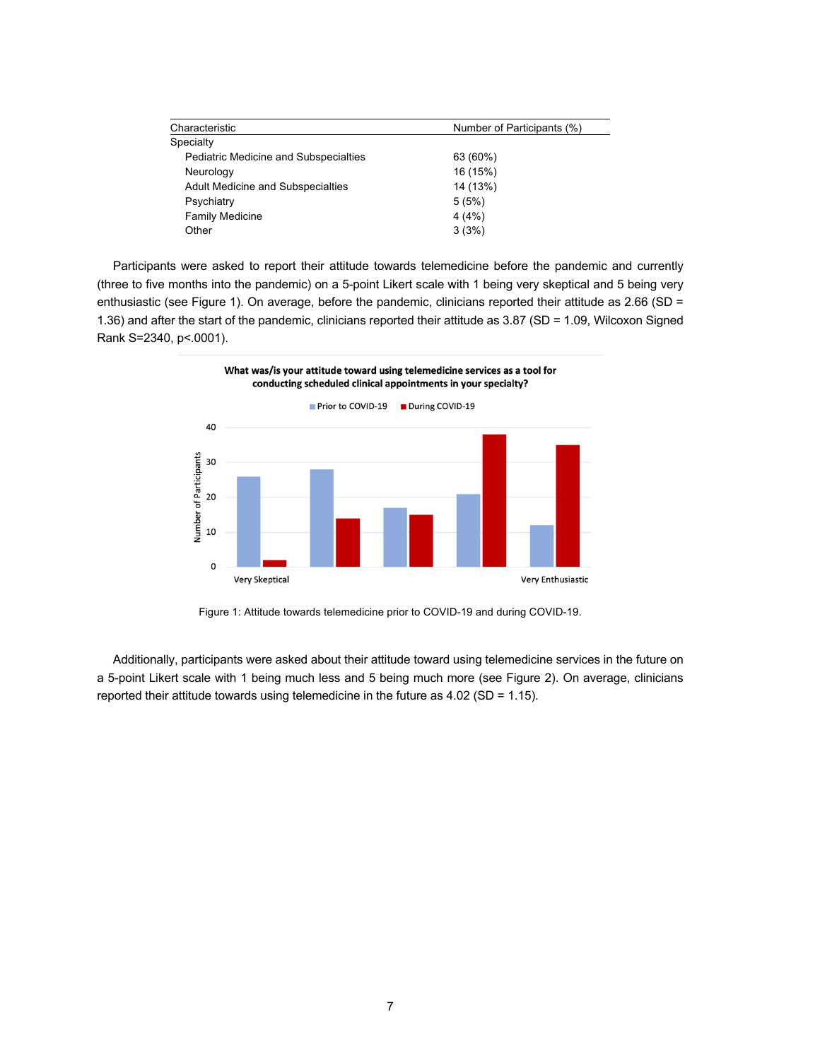| Characteristic                               | Number of Participants (%) |
|----------------------------------------------|----------------------------|
| Specialty                                    |                            |
| <b>Pediatric Medicine and Subspecialties</b> | 63 (60%)                   |
| Neurology                                    | 16 (15%)                   |
| <b>Adult Medicine and Subspecialties</b>     | 14 (13%)                   |
| Psychiatry                                   | 5(5%)                      |
| <b>Family Medicine</b>                       | 4(4%)                      |
| Other                                        | 3(3%)                      |

Participants were asked to report their attitude towards telemedicine before the pandemic and currently (three to five months into the pandemic) on a 5-point Likert scale with 1 being very skeptical and 5 being very enthusiastic (see Figure 1). On average, before the pandemic, clinicians reported their attitude as 2.66 (SD = 1.36) and after the start of the pandemic, clinicians reported their attitude as 3.87 (SD = 1.09, Wilcoxon Signed Rank S=2340, p<.0001).



Figure 1: Attitude towards telemedicine prior to COVID-19 and during COVID-19.

Additionally, participants were asked about their attitude toward using telemedicine services in the future on a 5-point Likert scale with 1 being much less and 5 being much more (see Figure 2). On average, clinicians reported their attitude towards using telemedicine in the future as 4.02 (SD = 1.15).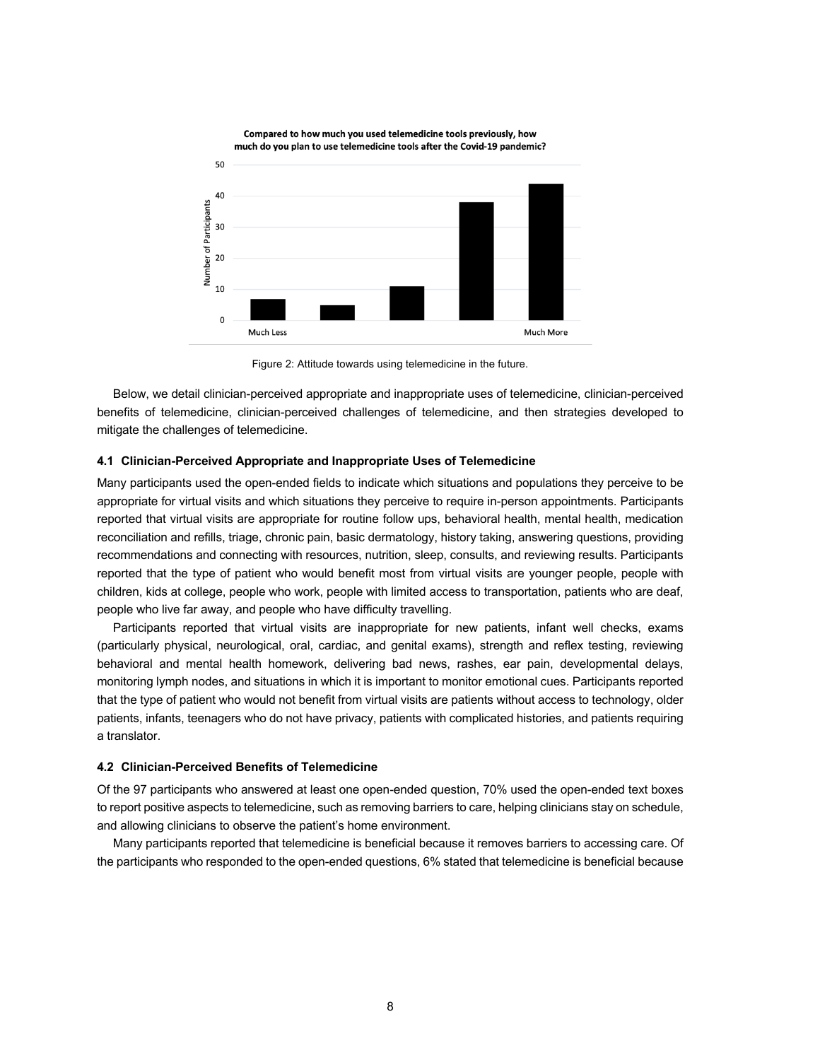

Figure 2: Attitude towards using telemedicine in the future.

Below, we detail clinician-perceived appropriate and inappropriate uses of telemedicine, clinician-perceived benefits of telemedicine, clinician-perceived challenges of telemedicine, and then strategies developed to mitigate the challenges of telemedicine.

#### **4.1 Clinician-Perceived Appropriate and Inappropriate Uses of Telemedicine**

Many participants used the open-ended fields to indicate which situations and populations they perceive to be appropriate for virtual visits and which situations they perceive to require in-person appointments. Participants reported that virtual visits are appropriate for routine follow ups, behavioral health, mental health, medication reconciliation and refills, triage, chronic pain, basic dermatology, history taking, answering questions, providing recommendations and connecting with resources, nutrition, sleep, consults, and reviewing results. Participants reported that the type of patient who would benefit most from virtual visits are younger people, people with children, kids at college, people who work, people with limited access to transportation, patients who are deaf, people who live far away, and people who have difficulty travelling.

Participants reported that virtual visits are inappropriate for new patients, infant well checks, exams (particularly physical, neurological, oral, cardiac, and genital exams), strength and reflex testing, reviewing behavioral and mental health homework, delivering bad news, rashes, ear pain, developmental delays, monitoring lymph nodes, and situations in which it is important to monitor emotional cues. Participants reported that the type of patient who would not benefit from virtual visits are patients without access to technology, older patients, infants, teenagers who do not have privacy, patients with complicated histories, and patients requiring a translator.

#### **4.2 Clinician-Perceived Benefits of Telemedicine**

Of the 97 participants who answered at least one open-ended question, 70% used the open-ended text boxes to report positive aspects to telemedicine, such as removing barriers to care, helping clinicians stay on schedule, and allowing clinicians to observe the patient's home environment.

Many participants reported that telemedicine is beneficial because it removes barriers to accessing care. Of the participants who responded to the open-ended questions, 6% stated that telemedicine is beneficial because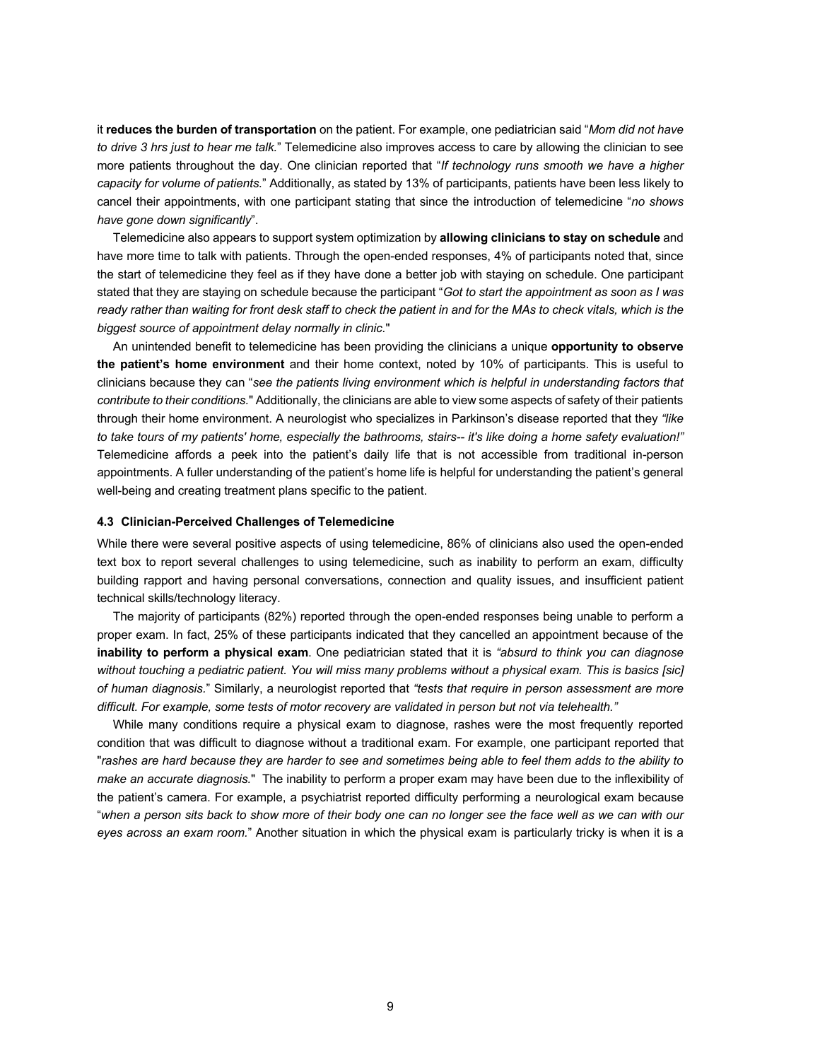it **reduces the burden of transportation** on the patient. For example, one pediatrician said "*Mom did not have to drive 3 hrs just to hear me talk.*" Telemedicine also improves access to care by allowing the clinician to see more patients throughout the day. One clinician reported that "*If technology runs smooth we have a higher capacity for volume of patients.*" Additionally, as stated by 13% of participants, patients have been less likely to cancel their appointments, with one participant stating that since the introduction of telemedicine "*no shows have gone down significantly*".

Telemedicine also appears to support system optimization by **allowing clinicians to stay on schedule** and have more time to talk with patients. Through the open-ended responses, 4% of participants noted that, since the start of telemedicine they feel as if they have done a better job with staying on schedule. One participant stated that they are staying on schedule because the participant "*Got to start the appointment as soon as I was ready rather than waiting for front desk staff to check the patient in and for the MAs to check vitals, which is the biggest source of appointment delay normally in clinic.*"

An unintended benefit to telemedicine has been providing the clinicians a unique **opportunity to observe the patient's home environment** and their home context, noted by 10% of participants. This is useful to clinicians because they can "*see the patients living environment which is helpful in understanding factors that contribute to their conditions.*" Additionally, the clinicians are able to view some aspects of safety of their patients through their home environment. A neurologist who specializes in Parkinson's disease reported that they *"like to take tours of my patients' home, especially the bathrooms, stairs-- it's like doing a home safety evaluation!"* Telemedicine affords a peek into the patient's daily life that is not accessible from traditional in-person appointments. A fuller understanding of the patient's home life is helpful for understanding the patient's general well-being and creating treatment plans specific to the patient.

#### **4.3 Clinician-Perceived Challenges of Telemedicine**

While there were several positive aspects of using telemedicine, 86% of clinicians also used the open-ended text box to report several challenges to using telemedicine, such as inability to perform an exam, difficulty building rapport and having personal conversations, connection and quality issues, and insufficient patient technical skills/technology literacy.

The majority of participants (82%) reported through the open-ended responses being unable to perform a proper exam. In fact, 25% of these participants indicated that they cancelled an appointment because of the **inability to perform a physical exam**. One pediatrician stated that it is *"absurd to think you can diagnose*  without touching a pediatric patient. You will miss many problems without a physical exam. This is basics [sic] *of human diagnosis.*" Similarly, a neurologist reported that *"tests that require in person assessment are more difficult. For example, some tests of motor recovery are validated in person but not via telehealth."*

While many conditions require a physical exam to diagnose, rashes were the most frequently reported condition that was difficult to diagnose without a traditional exam. For example, one participant reported that "*rashes are hard because they are harder to see and sometimes being able to feel them adds to the ability to make an accurate diagnosis.*" The inability to perform a proper exam may have been due to the inflexibility of the patient's camera. For example, a psychiatrist reported difficulty performing a neurological exam because "*when a person sits back to show more of their body one can no longer see the face well as we can with our eyes across an exam room.*" Another situation in which the physical exam is particularly tricky is when it is a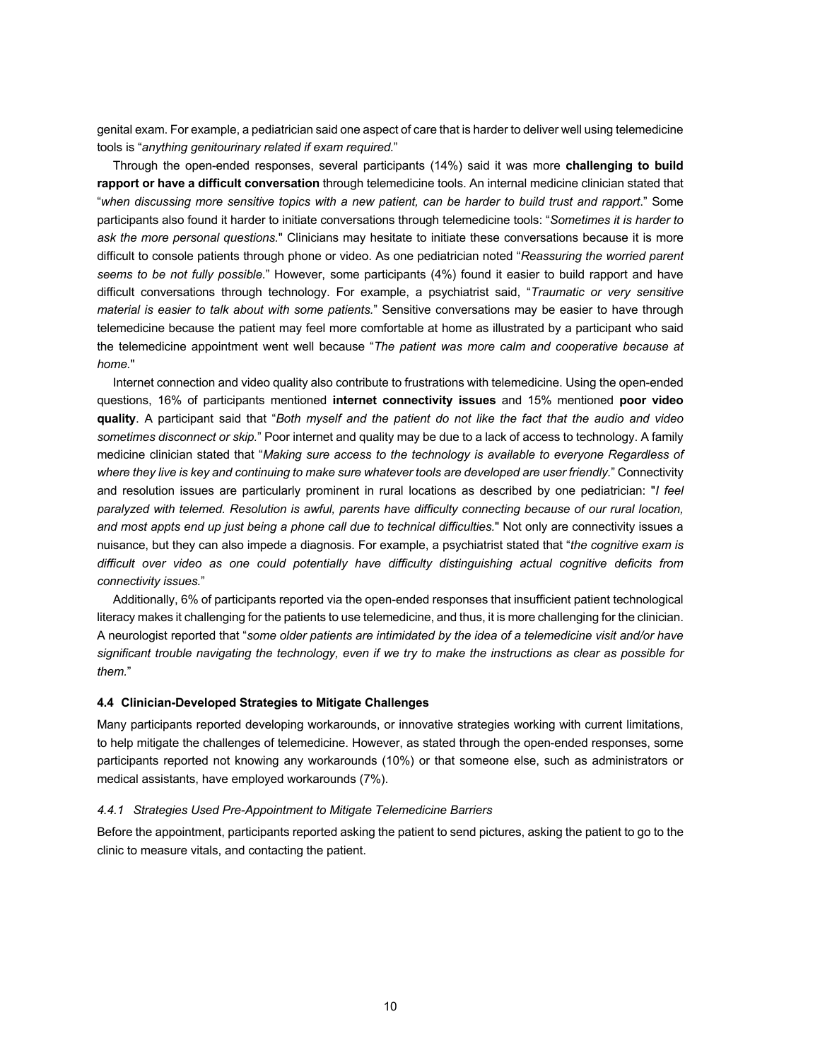genital exam. For example, a pediatrician said one aspect of care that is harder to deliver well using telemedicine tools is "*anything genitourinary related if exam required.*"

Through the open-ended responses, several participants (14%) said it was more **challenging to build rapport or have a difficult conversation** through telemedicine tools. An internal medicine clinician stated that "*when discussing more sensitive topics with a new patient, can be harder to build trust and rapport*." Some participants also found it harder to initiate conversations through telemedicine tools: "*Sometimes it is harder to ask the more personal questions.*" Clinicians may hesitate to initiate these conversations because it is more difficult to console patients through phone or video. As one pediatrician noted "*Reassuring the worried parent seems to be not fully possible.*" However, some participants (4%) found it easier to build rapport and have difficult conversations through technology. For example, a psychiatrist said, "*Traumatic or very sensitive material is easier to talk about with some patients.*" Sensitive conversations may be easier to have through telemedicine because the patient may feel more comfortable at home as illustrated by a participant who said the telemedicine appointment went well because "*The patient was more calm and cooperative because at home.*"

Internet connection and video quality also contribute to frustrations with telemedicine. Using the open-ended questions, 16% of participants mentioned **internet connectivity issues** and 15% mentioned **poor video quality**. A participant said that "*Both myself and the patient do not like the fact that the audio and video sometimes disconnect or skip.*" Poor internet and quality may be due to a lack of access to technology. A family medicine clinician stated that "*Making sure access to the technology is available to everyone Regardless of where they live is key and continuing to make sure whatever tools are developed are user friendly.*" Connectivity and resolution issues are particularly prominent in rural locations as described by one pediatrician: "*I feel paralyzed with telemed. Resolution is awful, parents have difficulty connecting because of our rural location, and most appts end up just being a phone call due to technical difficulties.*" Not only are connectivity issues a nuisance, but they can also impede a diagnosis. For example, a psychiatrist stated that "*the cognitive exam is difficult over video as one could potentially have difficulty distinguishing actual cognitive deficits from connectivity issues.*"

Additionally, 6% of participants reported via the open-ended responses that insufficient patient technological literacy makes it challenging for the patients to use telemedicine, and thus, it is more challenging for the clinician. A neurologist reported that "*some older patients are intimidated by the idea of a telemedicine visit and/or have significant trouble navigating the technology, even if we try to make the instructions as clear as possible for them.*"

#### **4.4 Clinician-Developed Strategies to Mitigate Challenges**

Many participants reported developing workarounds, or innovative strategies working with current limitations, to help mitigate the challenges of telemedicine. However, as stated through the open-ended responses, some participants reported not knowing any workarounds (10%) or that someone else, such as administrators or medical assistants, have employed workarounds (7%).

#### *4.4.1 Strategies Used Pre-Appointment to Mitigate Telemedicine Barriers*

Before the appointment, participants reported asking the patient to send pictures, asking the patient to go to the clinic to measure vitals, and contacting the patient.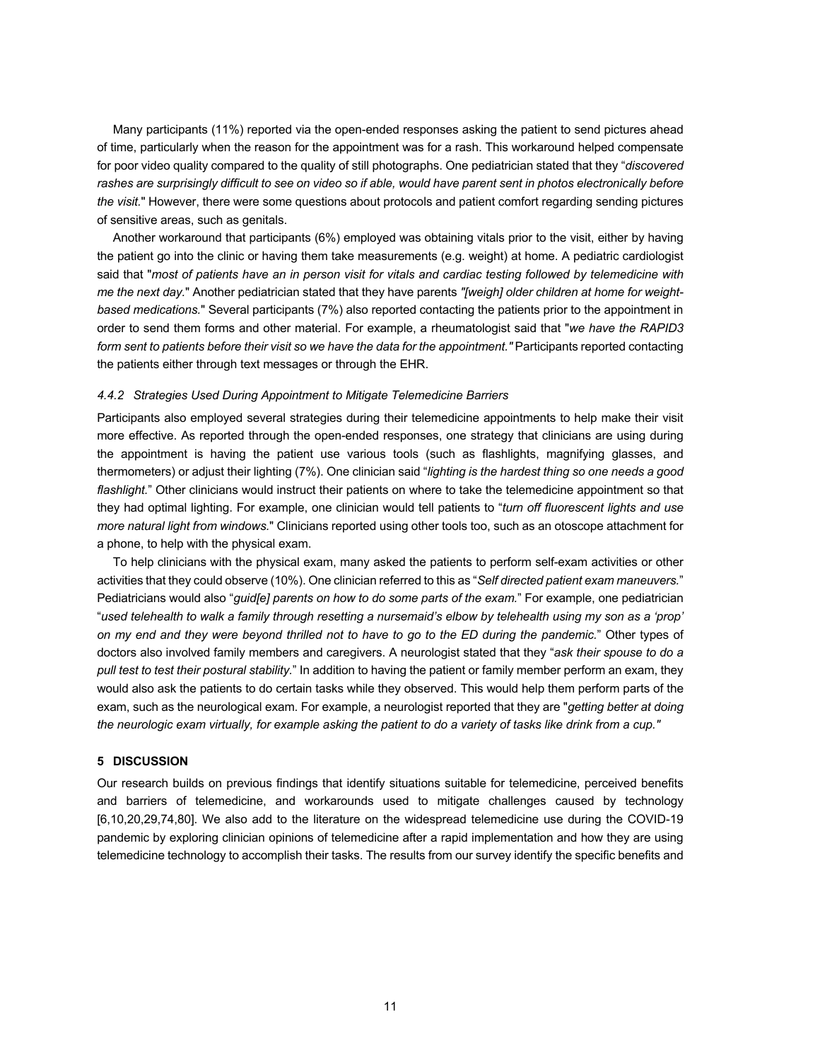Many participants (11%) reported via the open-ended responses asking the patient to send pictures ahead of time, particularly when the reason for the appointment was for a rash. This workaround helped compensate for poor video quality compared to the quality of still photographs. One pediatrician stated that they "*discovered*  rashes are surprisingly difficult to see on video so if able, would have parent sent in photos electronically before *the visit.*" However, there were some questions about protocols and patient comfort regarding sending pictures of sensitive areas, such as genitals.

Another workaround that participants (6%) employed was obtaining vitals prior to the visit, either by having the patient go into the clinic or having them take measurements (e.g. weight) at home. A pediatric cardiologist said that "*most of patients have an in person visit for vitals and cardiac testing followed by telemedicine with me the next day.*" Another pediatrician stated that they have parents *"[weigh] older children at home for weightbased medications.*" Several participants (7%) also reported contacting the patients prior to the appointment in order to send them forms and other material. For example, a rheumatologist said that "*we have the RAPID3 form sent to patients before their visit so we have the data for the appointment."* Participants reported contacting the patients either through text messages or through the EHR.

#### *4.4.2 Strategies Used During Appointment to Mitigate Telemedicine Barriers*

Participants also employed several strategies during their telemedicine appointments to help make their visit more effective. As reported through the open-ended responses, one strategy that clinicians are using during the appointment is having the patient use various tools (such as flashlights, magnifying glasses, and thermometers) or adjust their lighting (7%). One clinician said "*lighting is the hardest thing so one needs a good flashlight.*" Other clinicians would instruct their patients on where to take the telemedicine appointment so that they had optimal lighting. For example, one clinician would tell patients to "*turn off fluorescent lights and use more natural light from windows.*" Clinicians reported using other tools too, such as an otoscope attachment for a phone, to help with the physical exam.

To help clinicians with the physical exam, many asked the patients to perform self-exam activities or other activities that they could observe (10%). One clinician referred to this as "*Self directed patient exam maneuvers.*" Pediatricians would also "*guid[e] parents on how to do some parts of the exam.*" For example, one pediatrician "*used telehealth to walk a family through resetting a nursemaid's elbow by telehealth using my son as a 'prop' on my end and they were beyond thrilled not to have to go to the ED during the pandemic.*" Other types of doctors also involved family members and caregivers. A neurologist stated that they "*ask their spouse to do a pull test to test their postural stability.*" In addition to having the patient or family member perform an exam, they would also ask the patients to do certain tasks while they observed. This would help them perform parts of the exam, such as the neurological exam. For example, a neurologist reported that they are "*getting better at doing the neurologic exam virtually, for example asking the patient to do a variety of tasks like drink from a cup."*

#### **5 DISCUSSION**

Our research builds on previous findings that identify situations suitable for telemedicine, perceived benefits and barriers of telemedicine, and workarounds used to mitigate challenges caused by technology [6,10,20,29,74,80]. We also add to the literature on the widespread telemedicine use during the COVID-19 pandemic by exploring clinician opinions of telemedicine after a rapid implementation and how they are using telemedicine technology to accomplish their tasks. The results from our survey identify the specific benefits and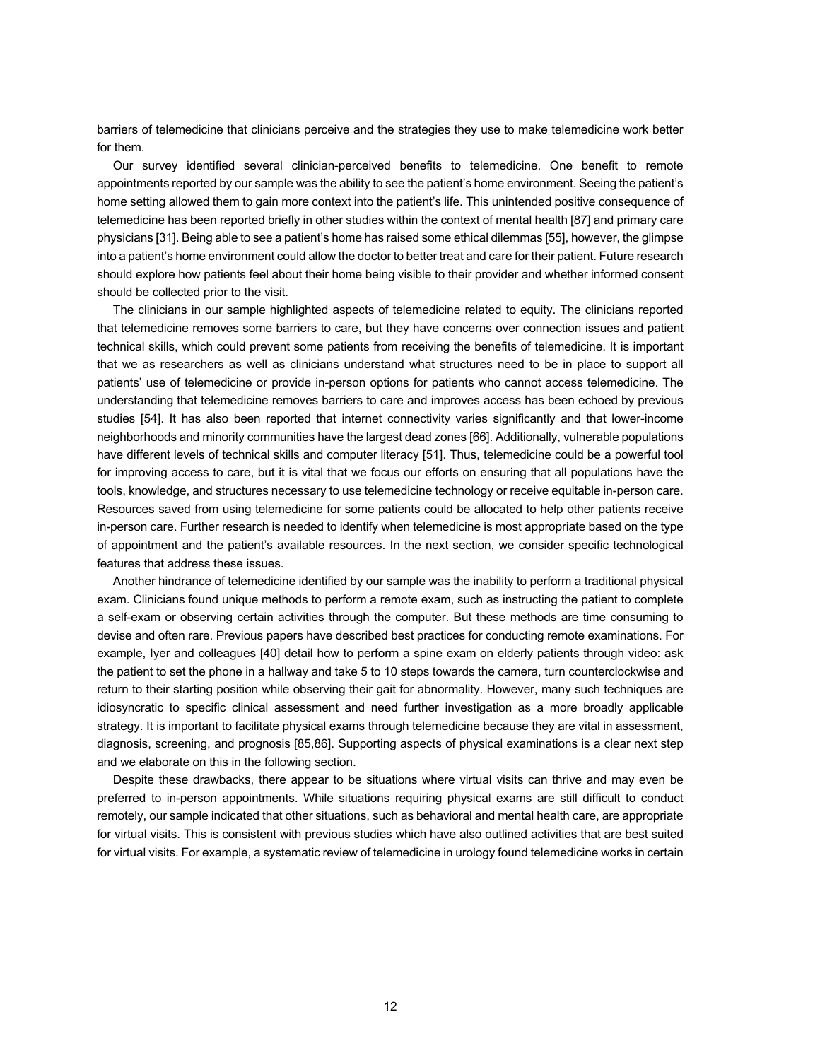barriers of telemedicine that clinicians perceive and the strategies they use to make telemedicine work better for them.

Our survey identified several clinician-perceived benefits to telemedicine. One benefit to remote appointments reported by our sample was the ability to see the patient's home environment. Seeing the patient's home setting allowed them to gain more context into the patient's life. This unintended positive consequence of telemedicine has been reported briefly in other studies within the context of mental health [87] and primary care physicians [31]. Being able to see a patient's home has raised some ethical dilemmas [55], however, the glimpse into a patient's home environment could allow the doctor to better treat and care for their patient. Future research should explore how patients feel about their home being visible to their provider and whether informed consent should be collected prior to the visit.

The clinicians in our sample highlighted aspects of telemedicine related to equity. The clinicians reported that telemedicine removes some barriers to care, but they have concerns over connection issues and patient technical skills, which could prevent some patients from receiving the benefits of telemedicine. It is important that we as researchers as well as clinicians understand what structures need to be in place to support all patients' use of telemedicine or provide in-person options for patients who cannot access telemedicine. The understanding that telemedicine removes barriers to care and improves access has been echoed by previous studies [54]. It has also been reported that internet connectivity varies significantly and that lower-income neighborhoods and minority communities have the largest dead zones [66]. Additionally, vulnerable populations have different levels of technical skills and computer literacy [51]. Thus, telemedicine could be a powerful tool for improving access to care, but it is vital that we focus our efforts on ensuring that all populations have the tools, knowledge, and structures necessary to use telemedicine technology or receive equitable in-person care. Resources saved from using telemedicine for some patients could be allocated to help other patients receive in-person care. Further research is needed to identify when telemedicine is most appropriate based on the type of appointment and the patient's available resources. In the next section, we consider specific technological features that address these issues.

Another hindrance of telemedicine identified by our sample was the inability to perform a traditional physical exam. Clinicians found unique methods to perform a remote exam, such as instructing the patient to complete a self-exam or observing certain activities through the computer. But these methods are time consuming to devise and often rare. Previous papers have described best practices for conducting remote examinations. For example, Iyer and colleagues [40] detail how to perform a spine exam on elderly patients through video: ask the patient to set the phone in a hallway and take 5 to 10 steps towards the camera, turn counterclockwise and return to their starting position while observing their gait for abnormality. However, many such techniques are idiosyncratic to specific clinical assessment and need further investigation as a more broadly applicable strategy. It is important to facilitate physical exams through telemedicine because they are vital in assessment, diagnosis, screening, and prognosis [85,86]. Supporting aspects of physical examinations is a clear next step and we elaborate on this in the following section.

Despite these drawbacks, there appear to be situations where virtual visits can thrive and may even be preferred to in-person appointments. While situations requiring physical exams are still difficult to conduct remotely, our sample indicated that other situations, such as behavioral and mental health care, are appropriate for virtual visits. This is consistent with previous studies which have also outlined activities that are best suited for virtual visits. For example, a systematic review of telemedicine in urology found telemedicine works in certain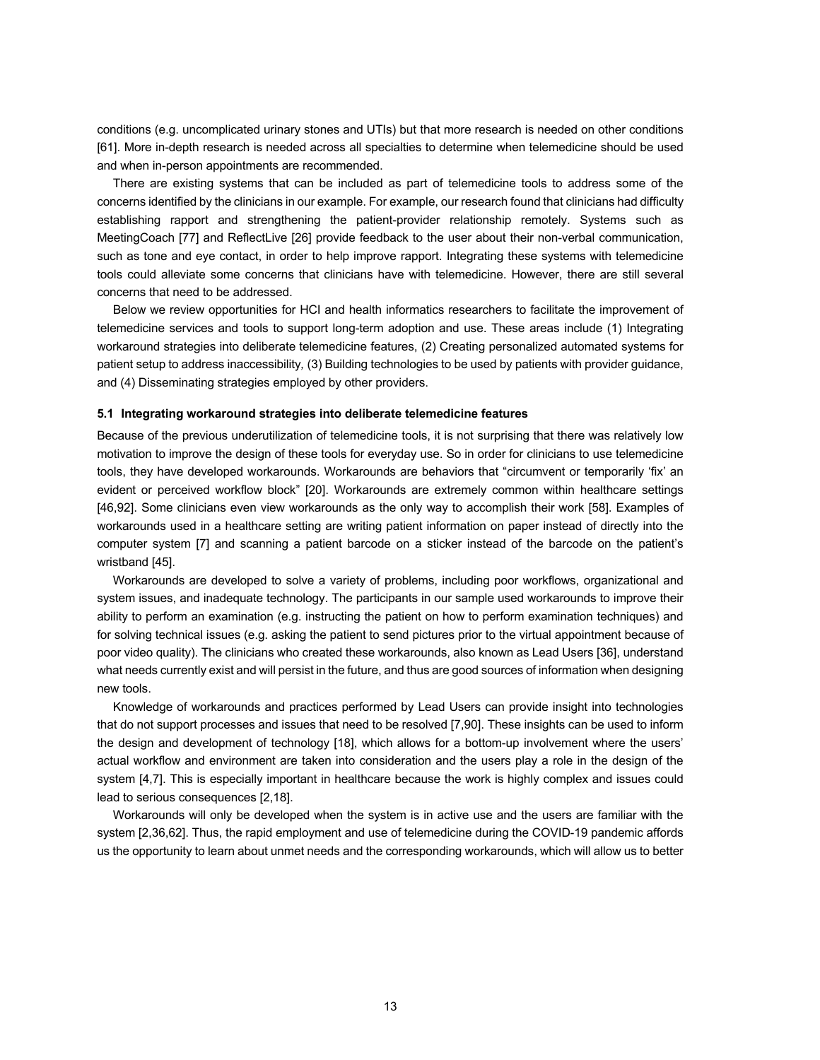conditions (e.g. uncomplicated urinary stones and UTIs) but that more research is needed on other conditions [61]. More in-depth research is needed across all specialties to determine when telemedicine should be used and when in-person appointments are recommended.

There are existing systems that can be included as part of telemedicine tools to address some of the concerns identified by the clinicians in our example. For example, our research found that clinicians had difficulty establishing rapport and strengthening the patient-provider relationship remotely. Systems such as MeetingCoach [77] and ReflectLive [26] provide feedback to the user about their non-verbal communication, such as tone and eye contact, in order to help improve rapport. Integrating these systems with telemedicine tools could alleviate some concerns that clinicians have with telemedicine. However, there are still several concerns that need to be addressed.

Below we review opportunities for HCI and health informatics researchers to facilitate the improvement of telemedicine services and tools to support long-term adoption and use. These areas include (1) Integrating workaround strategies into deliberate telemedicine features, (2) Creating personalized automated systems for patient setup to address inaccessibility*,* (3) Building technologies to be used by patients with provider guidance, and (4) Disseminating strategies employed by other providers.

#### **5.1 Integrating workaround strategies into deliberate telemedicine features**

Because of the previous underutilization of telemedicine tools, it is not surprising that there was relatively low motivation to improve the design of these tools for everyday use. So in order for clinicians to use telemedicine tools, they have developed workarounds. Workarounds are behaviors that "circumvent or temporarily 'fix' an evident or perceived workflow block" [20]. Workarounds are extremely common within healthcare settings [46,92]. Some clinicians even view workarounds as the only way to accomplish their work [58]. Examples of workarounds used in a healthcare setting are writing patient information on paper instead of directly into the computer system [7] and scanning a patient barcode on a sticker instead of the barcode on the patient's wristband [45].

Workarounds are developed to solve a variety of problems, including poor workflows, organizational and system issues, and inadequate technology. The participants in our sample used workarounds to improve their ability to perform an examination (e.g. instructing the patient on how to perform examination techniques) and for solving technical issues (e.g. asking the patient to send pictures prior to the virtual appointment because of poor video quality). The clinicians who created these workarounds, also known as Lead Users [36], understand what needs currently exist and will persist in the future, and thus are good sources of information when designing new tools.

Knowledge of workarounds and practices performed by Lead Users can provide insight into technologies that do not support processes and issues that need to be resolved [7,90]. These insights can be used to inform the design and development of technology [18], which allows for a bottom-up involvement where the users' actual workflow and environment are taken into consideration and the users play a role in the design of the system [4,7]. This is especially important in healthcare because the work is highly complex and issues could lead to serious consequences [2,18].

Workarounds will only be developed when the system is in active use and the users are familiar with the system [2,36,62]. Thus, the rapid employment and use of telemedicine during the COVID-19 pandemic affords us the opportunity to learn about unmet needs and the corresponding workarounds, which will allow us to better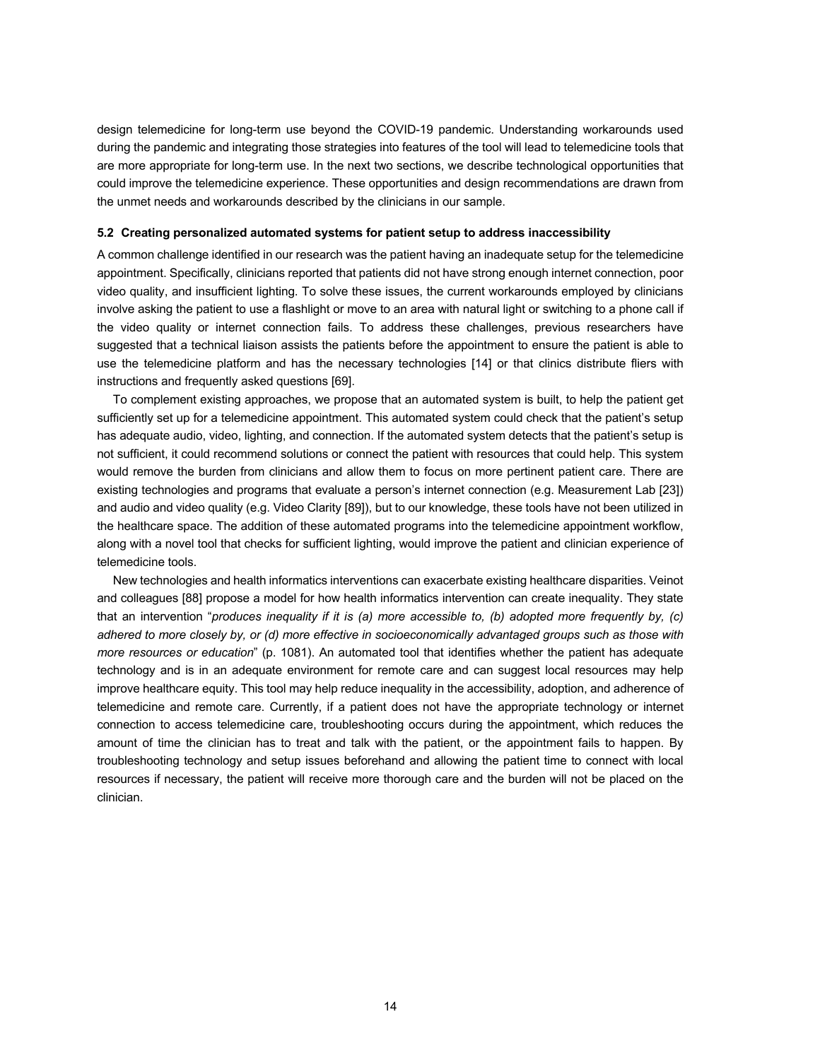design telemedicine for long-term use beyond the COVID-19 pandemic. Understanding workarounds used during the pandemic and integrating those strategies into features of the tool will lead to telemedicine tools that are more appropriate for long-term use. In the next two sections, we describe technological opportunities that could improve the telemedicine experience. These opportunities and design recommendations are drawn from the unmet needs and workarounds described by the clinicians in our sample.

#### **5.2 Creating personalized automated systems for patient setup to address inaccessibility**

A common challenge identified in our research was the patient having an inadequate setup for the telemedicine appointment. Specifically, clinicians reported that patients did not have strong enough internet connection, poor video quality, and insufficient lighting. To solve these issues, the current workarounds employed by clinicians involve asking the patient to use a flashlight or move to an area with natural light or switching to a phone call if the video quality or internet connection fails. To address these challenges, previous researchers have suggested that a technical liaison assists the patients before the appointment to ensure the patient is able to use the telemedicine platform and has the necessary technologies [14] or that clinics distribute fliers with instructions and frequently asked questions [69].

To complement existing approaches, we propose that an automated system is built, to help the patient get sufficiently set up for a telemedicine appointment. This automated system could check that the patient's setup has adequate audio, video, lighting, and connection. If the automated system detects that the patient's setup is not sufficient, it could recommend solutions or connect the patient with resources that could help. This system would remove the burden from clinicians and allow them to focus on more pertinent patient care. There are existing technologies and programs that evaluate a person's internet connection (e.g. Measurement Lab [23]) and audio and video quality (e.g. Video Clarity [89]), but to our knowledge, these tools have not been utilized in the healthcare space. The addition of these automated programs into the telemedicine appointment workflow, along with a novel tool that checks for sufficient lighting, would improve the patient and clinician experience of telemedicine tools.

New technologies and health informatics interventions can exacerbate existing healthcare disparities. Veinot and colleagues [88] propose a model for how health informatics intervention can create inequality. They state that an intervention "*produces inequality if it is (a) more accessible to, (b) adopted more frequently by, (c) adhered to more closely by, or (d) more effective in socioeconomically advantaged groups such as those with more resources or education*" (p. 1081). An automated tool that identifies whether the patient has adequate technology and is in an adequate environment for remote care and can suggest local resources may help improve healthcare equity. This tool may help reduce inequality in the accessibility, adoption, and adherence of telemedicine and remote care. Currently, if a patient does not have the appropriate technology or internet connection to access telemedicine care, troubleshooting occurs during the appointment, which reduces the amount of time the clinician has to treat and talk with the patient, or the appointment fails to happen. By troubleshooting technology and setup issues beforehand and allowing the patient time to connect with local resources if necessary, the patient will receive more thorough care and the burden will not be placed on the clinician.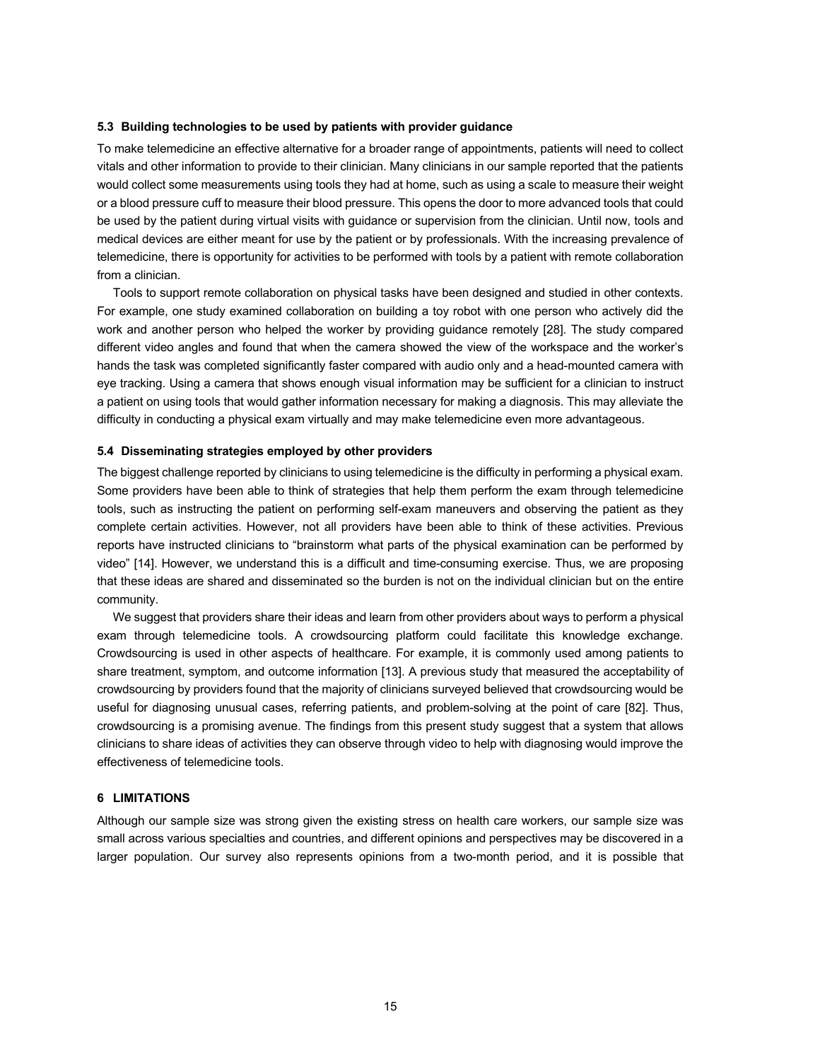#### **5.3 Building technologies to be used by patients with provider guidance**

To make telemedicine an effective alternative for a broader range of appointments, patients will need to collect vitals and other information to provide to their clinician. Many clinicians in our sample reported that the patients would collect some measurements using tools they had at home, such as using a scale to measure their weight or a blood pressure cuff to measure their blood pressure. This opens the door to more advanced tools that could be used by the patient during virtual visits with guidance or supervision from the clinician. Until now, tools and medical devices are either meant for use by the patient or by professionals. With the increasing prevalence of telemedicine, there is opportunity for activities to be performed with tools by a patient with remote collaboration from a clinician.

Tools to support remote collaboration on physical tasks have been designed and studied in other contexts. For example, one study examined collaboration on building a toy robot with one person who actively did the work and another person who helped the worker by providing guidance remotely [28]. The study compared different video angles and found that when the camera showed the view of the workspace and the worker's hands the task was completed significantly faster compared with audio only and a head-mounted camera with eye tracking. Using a camera that shows enough visual information may be sufficient for a clinician to instruct a patient on using tools that would gather information necessary for making a diagnosis. This may alleviate the difficulty in conducting a physical exam virtually and may make telemedicine even more advantageous.

#### **5.4 Disseminating strategies employed by other providers**

The biggest challenge reported by clinicians to using telemedicine is the difficulty in performing a physical exam. Some providers have been able to think of strategies that help them perform the exam through telemedicine tools, such as instructing the patient on performing self-exam maneuvers and observing the patient as they complete certain activities. However, not all providers have been able to think of these activities. Previous reports have instructed clinicians to "brainstorm what parts of the physical examination can be performed by video" [14]. However, we understand this is a difficult and time-consuming exercise. Thus, we are proposing that these ideas are shared and disseminated so the burden is not on the individual clinician but on the entire community.

We suggest that providers share their ideas and learn from other providers about ways to perform a physical exam through telemedicine tools. A crowdsourcing platform could facilitate this knowledge exchange. Crowdsourcing is used in other aspects of healthcare. For example, it is commonly used among patients to share treatment, symptom, and outcome information [13]. A previous study that measured the acceptability of crowdsourcing by providers found that the majority of clinicians surveyed believed that crowdsourcing would be useful for diagnosing unusual cases, referring patients, and problem-solving at the point of care [82]. Thus, crowdsourcing is a promising avenue. The findings from this present study suggest that a system that allows clinicians to share ideas of activities they can observe through video to help with diagnosing would improve the effectiveness of telemedicine tools.

#### **6 LIMITATIONS**

Although our sample size was strong given the existing stress on health care workers, our sample size was small across various specialties and countries, and different opinions and perspectives may be discovered in a larger population. Our survey also represents opinions from a two-month period, and it is possible that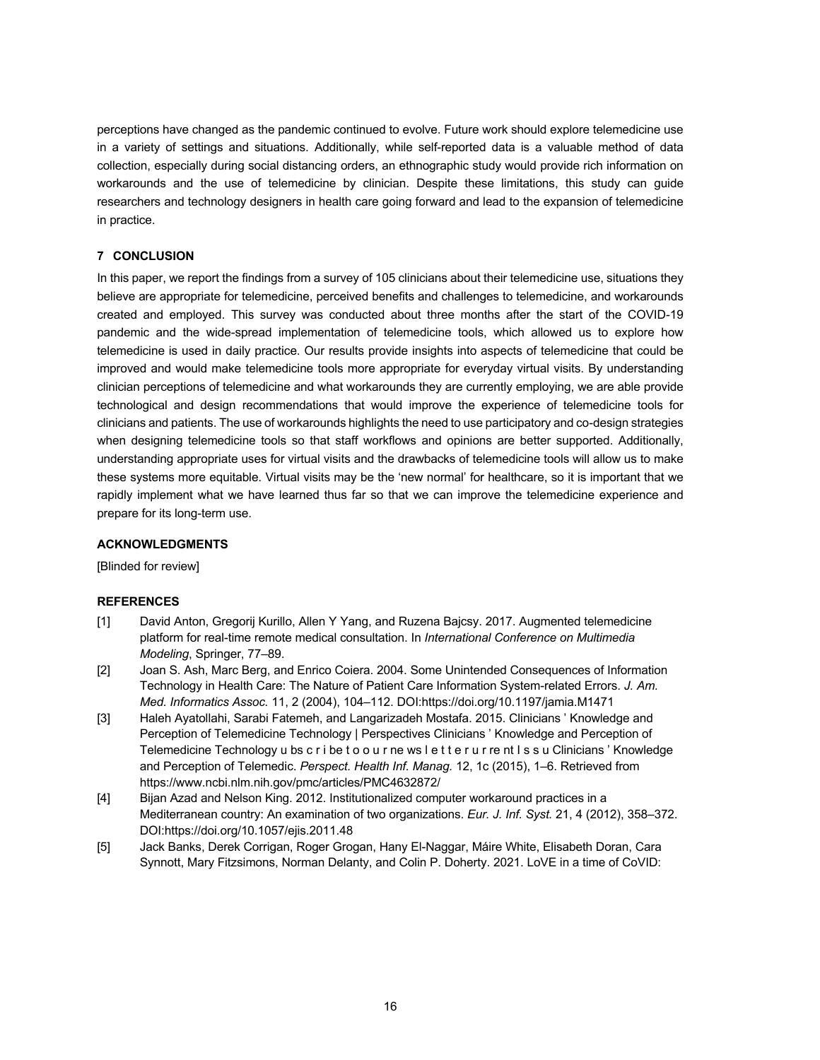perceptions have changed as the pandemic continued to evolve. Future work should explore telemedicine use in a variety of settings and situations. Additionally, while self-reported data is a valuable method of data collection, especially during social distancing orders, an ethnographic study would provide rich information on workarounds and the use of telemedicine by clinician. Despite these limitations, this study can guide researchers and technology designers in health care going forward and lead to the expansion of telemedicine in practice.

# **7 CONCLUSION**

In this paper, we report the findings from a survey of 105 clinicians about their telemedicine use, situations they believe are appropriate for telemedicine, perceived benefits and challenges to telemedicine, and workarounds created and employed. This survey was conducted about three months after the start of the COVID-19 pandemic and the wide-spread implementation of telemedicine tools, which allowed us to explore how telemedicine is used in daily practice. Our results provide insights into aspects of telemedicine that could be improved and would make telemedicine tools more appropriate for everyday virtual visits. By understanding clinician perceptions of telemedicine and what workarounds they are currently employing, we are able provide technological and design recommendations that would improve the experience of telemedicine tools for clinicians and patients. The use of workarounds highlights the need to use participatory and co-design strategies when designing telemedicine tools so that staff workflows and opinions are better supported. Additionally, understanding appropriate uses for virtual visits and the drawbacks of telemedicine tools will allow us to make these systems more equitable. Virtual visits may be the 'new normal' for healthcare, so it is important that we rapidly implement what we have learned thus far so that we can improve the telemedicine experience and prepare for its long-term use.

## **ACKNOWLEDGMENTS**

[Blinded for review]

# **REFERENCES**

- [1] David Anton, Gregorij Kurillo, Allen Y Yang, and Ruzena Bajcsy. 2017. Augmented telemedicine platform for real-time remote medical consultation. In *International Conference on Multimedia Modeling*, Springer, 77–89.
- [2] Joan S. Ash, Marc Berg, and Enrico Coiera. 2004. Some Unintended Consequences of Information Technology in Health Care: The Nature of Patient Care Information System-related Errors. *J. Am. Med. Informatics Assoc.* 11, 2 (2004), 104–112. DOI:https://doi.org/10.1197/jamia.M1471
- [3] Haleh Ayatollahi, Sarabi Fatemeh, and Langarizadeh Mostafa. 2015. Clinicians ' Knowledge and Perception of Telemedicine Technology | Perspectives Clinicians ' Knowledge and Perception of Telemedicine Technology u bs c r i be t o o u r ne ws l e t t e r u r re nt I s s u Clinicians ' Knowledge and Perception of Telemedic. *Perspect. Health Inf. Manag.* 12, 1c (2015), 1–6. Retrieved from https://www.ncbi.nlm.nih.gov/pmc/articles/PMC4632872/
- [4] Bijan Azad and Nelson King. 2012. Institutionalized computer workaround practices in a Mediterranean country: An examination of two organizations. *Eur. J. Inf. Syst.* 21, 4 (2012), 358–372. DOI:https://doi.org/10.1057/ejis.2011.48
- [5] Jack Banks, Derek Corrigan, Roger Grogan, Hany El-Naggar, Máire White, Elisabeth Doran, Cara Synnott, Mary Fitzsimons, Norman Delanty, and Colin P. Doherty. 2021. LoVE in a time of CoVID: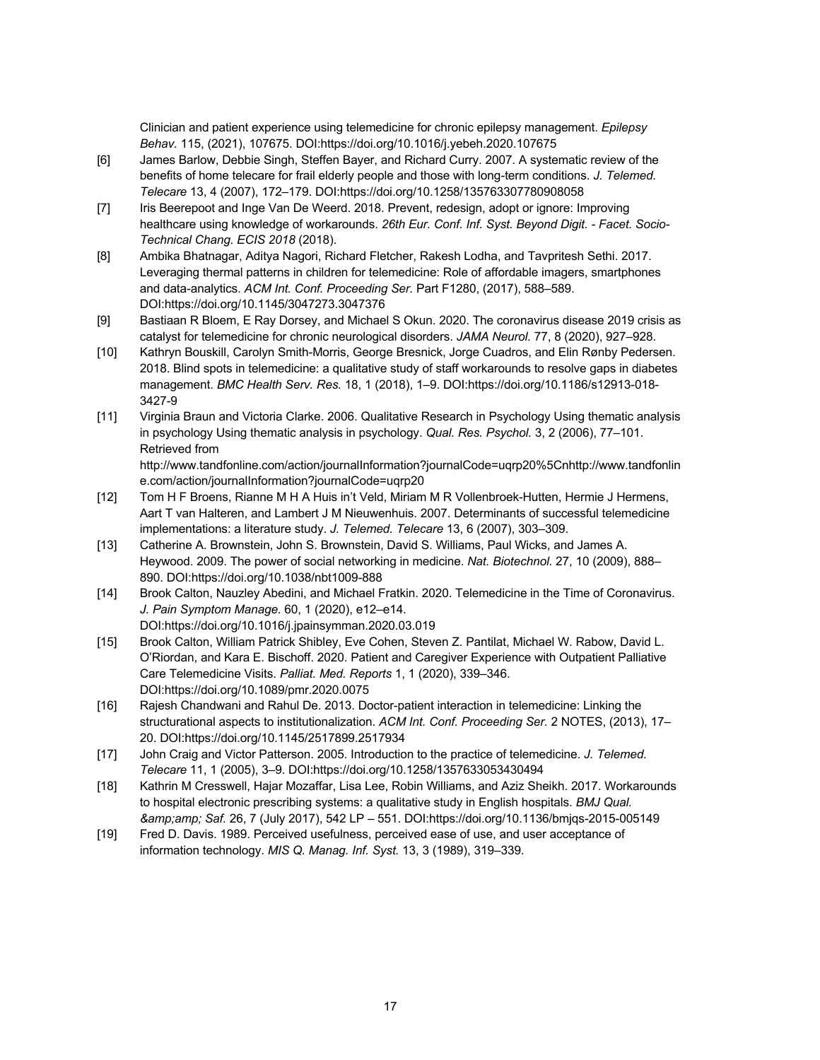Clinician and patient experience using telemedicine for chronic epilepsy management. *Epilepsy Behav.* 115, (2021), 107675. DOI:https://doi.org/10.1016/j.yebeh.2020.107675

- [6] James Barlow, Debbie Singh, Steffen Bayer, and Richard Curry. 2007. A systematic review of the benefits of home telecare for frail elderly people and those with long-term conditions. *J. Telemed. Telecare* 13, 4 (2007), 172–179. DOI:https://doi.org/10.1258/135763307780908058
- [7] Iris Beerepoot and Inge Van De Weerd. 2018. Prevent, redesign, adopt or ignore: Improving healthcare using knowledge of workarounds. *26th Eur. Conf. Inf. Syst. Beyond Digit. - Facet. Socio-Technical Chang. ECIS 2018* (2018).
- [8] Ambika Bhatnagar, Aditya Nagori, Richard Fletcher, Rakesh Lodha, and Tavpritesh Sethi. 2017. Leveraging thermal patterns in children for telemedicine: Role of affordable imagers, smartphones and data-analytics. *ACM Int. Conf. Proceeding Ser.* Part F1280, (2017), 588–589. DOI:https://doi.org/10.1145/3047273.3047376
- [9] Bastiaan R Bloem, E Ray Dorsey, and Michael S Okun. 2020. The coronavirus disease 2019 crisis as catalyst for telemedicine for chronic neurological disorders. *JAMA Neurol.* 77, 8 (2020), 927–928.
- [10] Kathryn Bouskill, Carolyn Smith-Morris, George Bresnick, Jorge Cuadros, and Elin Rønby Pedersen. 2018. Blind spots in telemedicine: a qualitative study of staff workarounds to resolve gaps in diabetes management. *BMC Health Serv. Res.* 18, 1 (2018), 1–9. DOI:https://doi.org/10.1186/s12913-018- 3427-9
- [11] Virginia Braun and Victoria Clarke. 2006. Qualitative Research in Psychology Using thematic analysis in psychology Using thematic analysis in psychology. *Qual. Res. Psychol.* 3, 2 (2006), 77–101. Retrieved from

http://www.tandfonline.com/action/journalInformation?journalCode=uqrp20%5Cnhttp://www.tandfonlin e.com/action/journalInformation?journalCode=uqrp20

- [12] Tom H F Broens, Rianne M H A Huis in't Veld, Miriam M R Vollenbroek-Hutten, Hermie J Hermens, Aart T van Halteren, and Lambert J M Nieuwenhuis. 2007. Determinants of successful telemedicine implementations: a literature study. *J. Telemed. Telecare* 13, 6 (2007), 303–309.
- [13] Catherine A. Brownstein, John S. Brownstein, David S. Williams, Paul Wicks, and James A. Heywood. 2009. The power of social networking in medicine. *Nat. Biotechnol.* 27, 10 (2009), 888– 890. DOI:https://doi.org/10.1038/nbt1009-888
- [14] Brook Calton, Nauzley Abedini, and Michael Fratkin. 2020. Telemedicine in the Time of Coronavirus. *J. Pain Symptom Manage.* 60, 1 (2020), e12–e14. DOI:https://doi.org/10.1016/j.jpainsymman.2020.03.019
- [15] Brook Calton, William Patrick Shibley, Eve Cohen, Steven Z. Pantilat, Michael W. Rabow, David L. O'Riordan, and Kara E. Bischoff. 2020. Patient and Caregiver Experience with Outpatient Palliative Care Telemedicine Visits. *Palliat. Med. Reports* 1, 1 (2020), 339–346. DOI:https://doi.org/10.1089/pmr.2020.0075
- [16] Rajesh Chandwani and Rahul De. 2013. Doctor-patient interaction in telemedicine: Linking the structurational aspects to institutionalization. *ACM Int. Conf. Proceeding Ser.* 2 NOTES, (2013), 17– 20. DOI:https://doi.org/10.1145/2517899.2517934
- [17] John Craig and Victor Patterson. 2005. Introduction to the practice of telemedicine. *J. Telemed. Telecare* 11, 1 (2005), 3–9. DOI:https://doi.org/10.1258/1357633053430494
- [18] Kathrin M Cresswell, Hajar Mozaffar, Lisa Lee, Robin Williams, and Aziz Sheikh. 2017. Workarounds to hospital electronic prescribing systems: a qualitative study in English hospitals. *BMJ Qual. & Saf.* 26, 7 (July 2017), 542 LP – 551. DOI:https://doi.org/10.1136/bmjqs-2015-005149
- [19] Fred D. Davis. 1989. Perceived usefulness, perceived ease of use, and user acceptance of information technology. *MIS Q. Manag. Inf. Syst.* 13, 3 (1989), 319–339.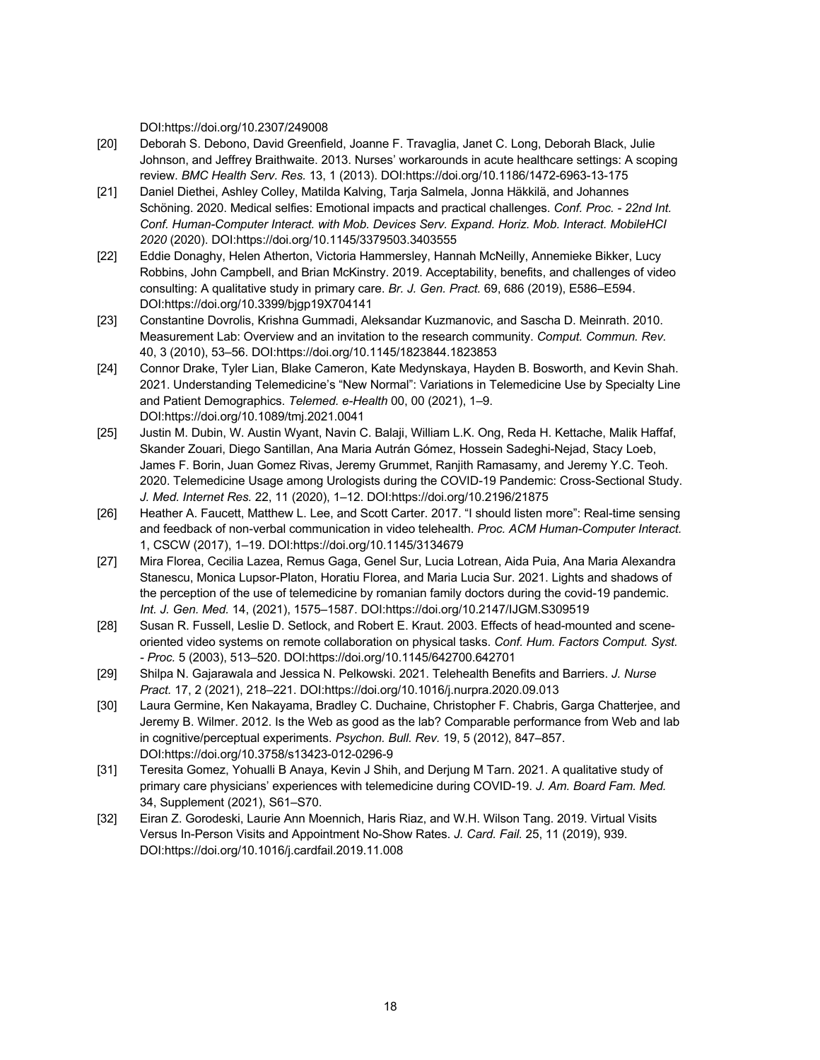DOI:https://doi.org/10.2307/249008

- [20] Deborah S. Debono, David Greenfield, Joanne F. Travaglia, Janet C. Long, Deborah Black, Julie Johnson, and Jeffrey Braithwaite. 2013. Nurses' workarounds in acute healthcare settings: A scoping review. *BMC Health Serv. Res.* 13, 1 (2013). DOI:https://doi.org/10.1186/1472-6963-13-175
- [21] Daniel Diethei, Ashley Colley, Matilda Kalving, Tarja Salmela, Jonna Häkkilä, and Johannes Schöning. 2020. Medical selfies: Emotional impacts and practical challenges. *Conf. Proc. - 22nd Int. Conf. Human-Computer Interact. with Mob. Devices Serv. Expand. Horiz. Mob. Interact. MobileHCI 2020* (2020). DOI:https://doi.org/10.1145/3379503.3403555
- [22] Eddie Donaghy, Helen Atherton, Victoria Hammersley, Hannah McNeilly, Annemieke Bikker, Lucy Robbins, John Campbell, and Brian McKinstry. 2019. Acceptability, benefits, and challenges of video consulting: A qualitative study in primary care. *Br. J. Gen. Pract.* 69, 686 (2019), E586–E594. DOI:https://doi.org/10.3399/bjgp19X704141
- [23] Constantine Dovrolis, Krishna Gummadi, Aleksandar Kuzmanovic, and Sascha D. Meinrath. 2010. Measurement Lab: Overview and an invitation to the research community. *Comput. Commun. Rev.* 40, 3 (2010), 53–56. DOI:https://doi.org/10.1145/1823844.1823853
- [24] Connor Drake, Tyler Lian, Blake Cameron, Kate Medynskaya, Hayden B. Bosworth, and Kevin Shah. 2021. Understanding Telemedicine's "New Normal": Variations in Telemedicine Use by Specialty Line and Patient Demographics. *Telemed. e-Health* 00, 00 (2021), 1–9. DOI:https://doi.org/10.1089/tmj.2021.0041
- [25] Justin M. Dubin, W. Austin Wyant, Navin C. Balaji, William L.K. Ong, Reda H. Kettache, Malik Haffaf, Skander Zouari, Diego Santillan, Ana Maria Autrán Gómez, Hossein Sadeghi-Nejad, Stacy Loeb, James F. Borin, Juan Gomez Rivas, Jeremy Grummet, Ranjith Ramasamy, and Jeremy Y.C. Teoh. 2020. Telemedicine Usage among Urologists during the COVID-19 Pandemic: Cross-Sectional Study. *J. Med. Internet Res.* 22, 11 (2020), 1–12. DOI:https://doi.org/10.2196/21875
- [26] Heather A. Faucett, Matthew L. Lee, and Scott Carter. 2017. "I should listen more": Real-time sensing and feedback of non-verbal communication in video telehealth. *Proc. ACM Human-Computer Interact.* 1, CSCW (2017), 1–19. DOI:https://doi.org/10.1145/3134679
- [27] Mira Florea, Cecilia Lazea, Remus Gaga, Genel Sur, Lucia Lotrean, Aida Puia, Ana Maria Alexandra Stanescu, Monica Lupsor-Platon, Horatiu Florea, and Maria Lucia Sur. 2021. Lights and shadows of the perception of the use of telemedicine by romanian family doctors during the covid-19 pandemic. *Int. J. Gen. Med.* 14, (2021), 1575–1587. DOI:https://doi.org/10.2147/IJGM.S309519
- [28] Susan R. Fussell, Leslie D. Setlock, and Robert E. Kraut. 2003. Effects of head-mounted and sceneoriented video systems on remote collaboration on physical tasks. *Conf. Hum. Factors Comput. Syst. - Proc.* 5 (2003), 513–520. DOI:https://doi.org/10.1145/642700.642701
- [29] Shilpa N. Gajarawala and Jessica N. Pelkowski. 2021. Telehealth Benefits and Barriers. *J. Nurse Pract.* 17, 2 (2021), 218–221. DOI:https://doi.org/10.1016/j.nurpra.2020.09.013
- [30] Laura Germine, Ken Nakayama, Bradley C. Duchaine, Christopher F. Chabris, Garga Chatterjee, and Jeremy B. Wilmer. 2012. Is the Web as good as the lab? Comparable performance from Web and lab in cognitive/perceptual experiments. *Psychon. Bull. Rev.* 19, 5 (2012), 847–857. DOI:https://doi.org/10.3758/s13423-012-0296-9
- [31] Teresita Gomez, Yohualli B Anaya, Kevin J Shih, and Derjung M Tarn. 2021. A qualitative study of primary care physicians' experiences with telemedicine during COVID-19. *J. Am. Board Fam. Med.* 34, Supplement (2021), S61–S70.
- [32] Eiran Z. Gorodeski, Laurie Ann Moennich, Haris Riaz, and W.H. Wilson Tang. 2019. Virtual Visits Versus In-Person Visits and Appointment No-Show Rates. *J. Card. Fail.* 25, 11 (2019), 939. DOI:https://doi.org/10.1016/j.cardfail.2019.11.008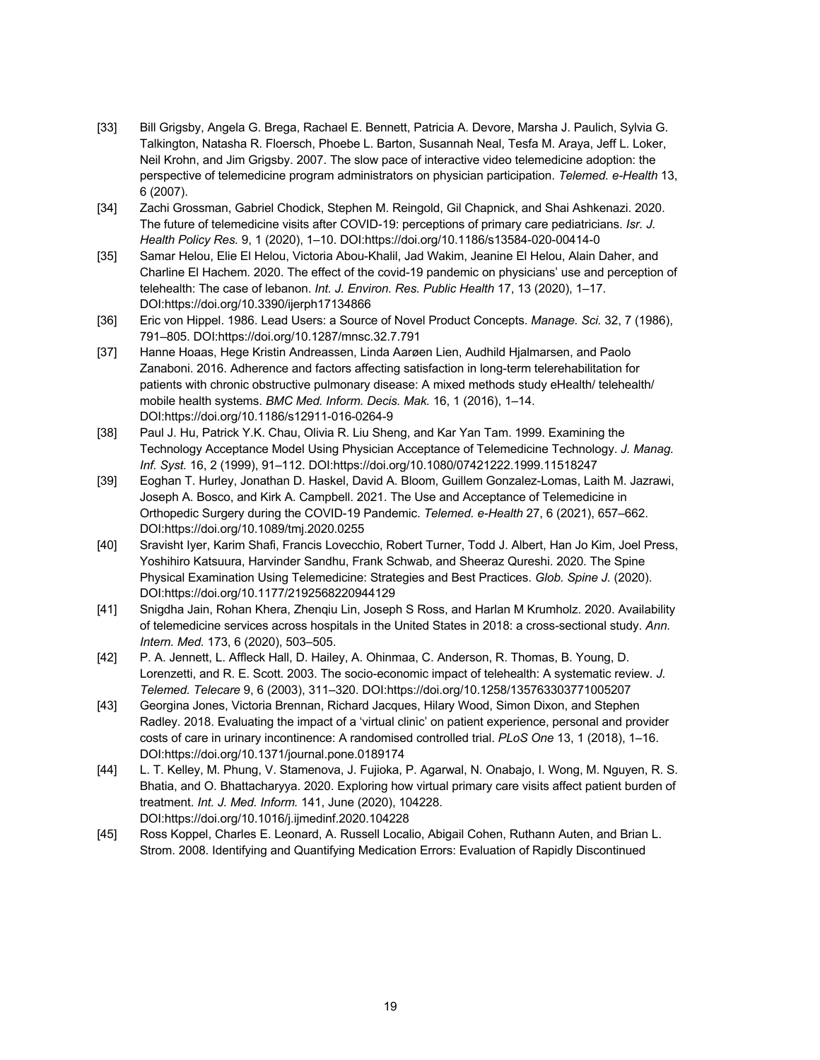- [33] Bill Grigsby, Angela G. Brega, Rachael E. Bennett, Patricia A. Devore, Marsha J. Paulich, Sylvia G. Talkington, Natasha R. Floersch, Phoebe L. Barton, Susannah Neal, Tesfa M. Araya, Jeff L. Loker, Neil Krohn, and Jim Grigsby. 2007. The slow pace of interactive video telemedicine adoption: the perspective of telemedicine program administrators on physician participation. *Telemed. e-Health* 13, 6 (2007).
- [34] Zachi Grossman, Gabriel Chodick, Stephen M. Reingold, Gil Chapnick, and Shai Ashkenazi. 2020. The future of telemedicine visits after COVID-19: perceptions of primary care pediatricians. *Isr. J. Health Policy Res.* 9, 1 (2020), 1–10. DOI:https://doi.org/10.1186/s13584-020-00414-0
- [35] Samar Helou, Elie El Helou, Victoria Abou-Khalil, Jad Wakim, Jeanine El Helou, Alain Daher, and Charline El Hachem. 2020. The effect of the covid-19 pandemic on physicians' use and perception of telehealth: The case of lebanon. *Int. J. Environ. Res. Public Health* 17, 13 (2020), 1–17. DOI:https://doi.org/10.3390/ijerph17134866
- [36] Eric von Hippel. 1986. Lead Users: a Source of Novel Product Concepts. *Manage. Sci.* 32, 7 (1986), 791–805. DOI:https://doi.org/10.1287/mnsc.32.7.791
- [37] Hanne Hoaas, Hege Kristin Andreassen, Linda Aarøen Lien, Audhild Hjalmarsen, and Paolo Zanaboni. 2016. Adherence and factors affecting satisfaction in long-term telerehabilitation for patients with chronic obstructive pulmonary disease: A mixed methods study eHealth/ telehealth/ mobile health systems. *BMC Med. Inform. Decis. Mak.* 16, 1 (2016), 1–14. DOI:https://doi.org/10.1186/s12911-016-0264-9
- [38] Paul J. Hu, Patrick Y.K. Chau, Olivia R. Liu Sheng, and Kar Yan Tam. 1999. Examining the Technology Acceptance Model Using Physician Acceptance of Telemedicine Technology. *J. Manag. Inf. Syst.* 16, 2 (1999), 91–112. DOI:https://doi.org/10.1080/07421222.1999.11518247
- [39] Eoghan T. Hurley, Jonathan D. Haskel, David A. Bloom, Guillem Gonzalez-Lomas, Laith M. Jazrawi, Joseph A. Bosco, and Kirk A. Campbell. 2021. The Use and Acceptance of Telemedicine in Orthopedic Surgery during the COVID-19 Pandemic. *Telemed. e-Health* 27, 6 (2021), 657–662. DOI:https://doi.org/10.1089/tmj.2020.0255
- [40] Sravisht Iyer, Karim Shafi, Francis Lovecchio, Robert Turner, Todd J. Albert, Han Jo Kim, Joel Press, Yoshihiro Katsuura, Harvinder Sandhu, Frank Schwab, and Sheeraz Qureshi. 2020. The Spine Physical Examination Using Telemedicine: Strategies and Best Practices. *Glob. Spine J.* (2020). DOI:https://doi.org/10.1177/2192568220944129
- [41] Snigdha Jain, Rohan Khera, Zhenqiu Lin, Joseph S Ross, and Harlan M Krumholz. 2020. Availability of telemedicine services across hospitals in the United States in 2018: a cross-sectional study. *Ann. Intern. Med.* 173, 6 (2020), 503–505.
- [42] P. A. Jennett, L. Affleck Hall, D. Hailey, A. Ohinmaa, C. Anderson, R. Thomas, B. Young, D. Lorenzetti, and R. E. Scott. 2003. The socio-economic impact of telehealth: A systematic review. *J. Telemed. Telecare* 9, 6 (2003), 311–320. DOI:https://doi.org/10.1258/135763303771005207
- [43] Georgina Jones, Victoria Brennan, Richard Jacques, Hilary Wood, Simon Dixon, and Stephen Radley. 2018. Evaluating the impact of a 'virtual clinic' on patient experience, personal and provider costs of care in urinary incontinence: A randomised controlled trial. *PLoS One* 13, 1 (2018), 1–16. DOI:https://doi.org/10.1371/journal.pone.0189174
- [44] L. T. Kelley, M. Phung, V. Stamenova, J. Fujioka, P. Agarwal, N. Onabajo, I. Wong, M. Nguyen, R. S. Bhatia, and O. Bhattacharyya. 2020. Exploring how virtual primary care visits affect patient burden of treatment. *Int. J. Med. Inform.* 141, June (2020), 104228. DOI:https://doi.org/10.1016/j.ijmedinf.2020.104228
- [45] Ross Koppel, Charles E. Leonard, A. Russell Localio, Abigail Cohen, Ruthann Auten, and Brian L. Strom. 2008. Identifying and Quantifying Medication Errors: Evaluation of Rapidly Discontinued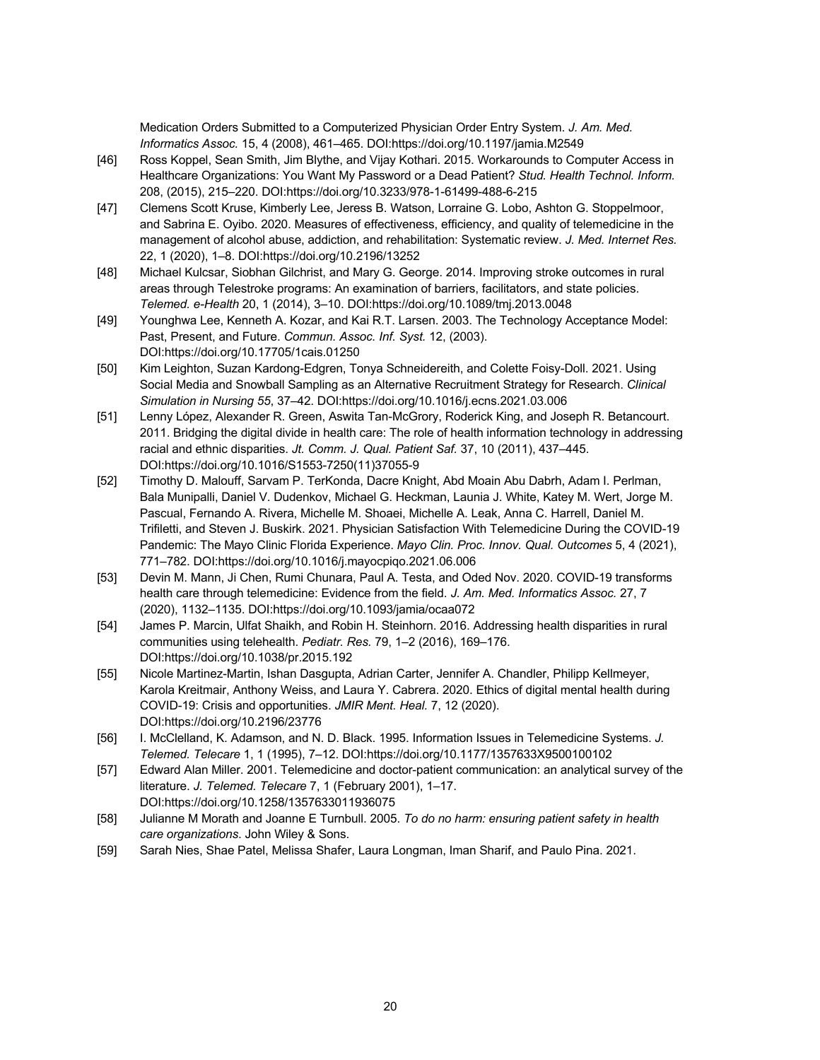Medication Orders Submitted to a Computerized Physician Order Entry System. *J. Am. Med. Informatics Assoc.* 15, 4 (2008), 461–465. DOI:https://doi.org/10.1197/jamia.M2549

- [46] Ross Koppel, Sean Smith, Jim Blythe, and Vijay Kothari. 2015. Workarounds to Computer Access in Healthcare Organizations: You Want My Password or a Dead Patient? *Stud. Health Technol. Inform.* 208, (2015), 215–220. DOI:https://doi.org/10.3233/978-1-61499-488-6-215
- [47] Clemens Scott Kruse, Kimberly Lee, Jeress B. Watson, Lorraine G. Lobo, Ashton G. Stoppelmoor, and Sabrina E. Oyibo. 2020. Measures of effectiveness, efficiency, and quality of telemedicine in the management of alcohol abuse, addiction, and rehabilitation: Systematic review. *J. Med. Internet Res.* 22, 1 (2020), 1–8. DOI:https://doi.org/10.2196/13252
- [48] Michael Kulcsar, Siobhan Gilchrist, and Mary G. George. 2014. Improving stroke outcomes in rural areas through Telestroke programs: An examination of barriers, facilitators, and state policies. *Telemed. e-Health* 20, 1 (2014), 3–10. DOI:https://doi.org/10.1089/tmj.2013.0048
- [49] Younghwa Lee, Kenneth A. Kozar, and Kai R.T. Larsen. 2003. The Technology Acceptance Model: Past, Present, and Future. *Commun. Assoc. Inf. Syst.* 12, (2003). DOI:https://doi.org/10.17705/1cais.01250
- [50] Kim Leighton, Suzan Kardong-Edgren, Tonya Schneidereith, and Colette Foisy-Doll. 2021. Using Social Media and Snowball Sampling as an Alternative Recruitment Strategy for Research. *Clinical Simulation in Nursing 55*, 37–42. DOI:https://doi.org/10.1016/j.ecns.2021.03.006
- [51] Lenny López, Alexander R. Green, Aswita Tan-McGrory, Roderick King, and Joseph R. Betancourt. 2011. Bridging the digital divide in health care: The role of health information technology in addressing racial and ethnic disparities. *Jt. Comm. J. Qual. Patient Saf.* 37, 10 (2011), 437–445. DOI:https://doi.org/10.1016/S1553-7250(11)37055-9
- [52] Timothy D. Malouff, Sarvam P. TerKonda, Dacre Knight, Abd Moain Abu Dabrh, Adam I. Perlman, Bala Munipalli, Daniel V. Dudenkov, Michael G. Heckman, Launia J. White, Katey M. Wert, Jorge M. Pascual, Fernando A. Rivera, Michelle M. Shoaei, Michelle A. Leak, Anna C. Harrell, Daniel M. Trifiletti, and Steven J. Buskirk. 2021. Physician Satisfaction With Telemedicine During the COVID-19 Pandemic: The Mayo Clinic Florida Experience. *Mayo Clin. Proc. Innov. Qual. Outcomes* 5, 4 (2021), 771–782. DOI:https://doi.org/10.1016/j.mayocpiqo.2021.06.006
- [53] Devin M. Mann, Ji Chen, Rumi Chunara, Paul A. Testa, and Oded Nov. 2020. COVID-19 transforms health care through telemedicine: Evidence from the field. *J. Am. Med. Informatics Assoc.* 27, 7 (2020), 1132–1135. DOI:https://doi.org/10.1093/jamia/ocaa072
- [54] James P. Marcin, Ulfat Shaikh, and Robin H. Steinhorn. 2016. Addressing health disparities in rural communities using telehealth. *Pediatr. Res.* 79, 1–2 (2016), 169–176. DOI:https://doi.org/10.1038/pr.2015.192
- [55] Nicole Martinez-Martin, Ishan Dasgupta, Adrian Carter, Jennifer A. Chandler, Philipp Kellmeyer, Karola Kreitmair, Anthony Weiss, and Laura Y. Cabrera. 2020. Ethics of digital mental health during COVID-19: Crisis and opportunities. *JMIR Ment. Heal.* 7, 12 (2020). DOI:https://doi.org/10.2196/23776
- [56] I. McClelland, K. Adamson, and N. D. Black. 1995. Information Issues in Telemedicine Systems. *J. Telemed. Telecare* 1, 1 (1995), 7–12. DOI:https://doi.org/10.1177/1357633X9500100102
- [57] Edward Alan Miller. 2001. Telemedicine and doctor-patient communication: an analytical survey of the literature. *J. Telemed. Telecare* 7, 1 (February 2001), 1–17. DOI:https://doi.org/10.1258/1357633011936075
- [58] Julianne M Morath and Joanne E Turnbull. 2005. *To do no harm: ensuring patient safety in health care organizations*. John Wiley & Sons.
- [59] Sarah Nies, Shae Patel, Melissa Shafer, Laura Longman, Iman Sharif, and Paulo Pina. 2021.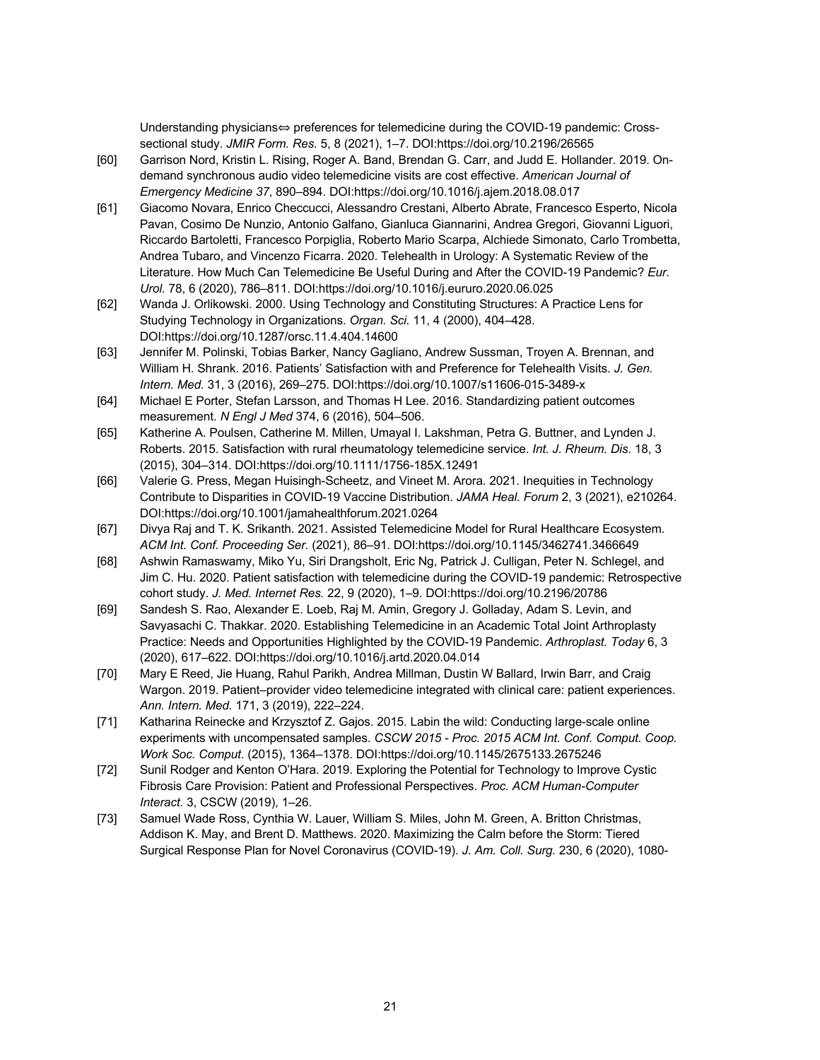Understanding physicians⇔ preferences for telemedicine during the COVID-19 pandemic: Crosssectional study. *JMIR Form. Res.* 5, 8 (2021), 1–7. DOI:https://doi.org/10.2196/26565

- [60] Garrison Nord, Kristin L. Rising, Roger A. Band, Brendan G. Carr, and Judd E. Hollander. 2019. Ondemand synchronous audio video telemedicine visits are cost effective. *American Journal of Emergency Medicine 37*, 890–894. DOI:https://doi.org/10.1016/j.ajem.2018.08.017
- [61] Giacomo Novara, Enrico Checcucci, Alessandro Crestani, Alberto Abrate, Francesco Esperto, Nicola Pavan, Cosimo De Nunzio, Antonio Galfano, Gianluca Giannarini, Andrea Gregori, Giovanni Liguori, Riccardo Bartoletti, Francesco Porpiglia, Roberto Mario Scarpa, Alchiede Simonato, Carlo Trombetta, Andrea Tubaro, and Vincenzo Ficarra. 2020. Telehealth in Urology: A Systematic Review of the Literature. How Much Can Telemedicine Be Useful During and After the COVID-19 Pandemic? *Eur. Urol.* 78, 6 (2020), 786–811. DOI:https://doi.org/10.1016/j.eururo.2020.06.025
- [62] Wanda J. Orlikowski. 2000. Using Technology and Constituting Structures: A Practice Lens for Studying Technology in Organizations. *Organ. Sci.* 11, 4 (2000), 404–428. DOI:https://doi.org/10.1287/orsc.11.4.404.14600
- [63] Jennifer M. Polinski, Tobias Barker, Nancy Gagliano, Andrew Sussman, Troyen A. Brennan, and William H. Shrank. 2016. Patients' Satisfaction with and Preference for Telehealth Visits. *J. Gen. Intern. Med.* 31, 3 (2016), 269–275. DOI:https://doi.org/10.1007/s11606-015-3489-x
- [64] Michael E Porter, Stefan Larsson, and Thomas H Lee. 2016. Standardizing patient outcomes measurement. *N Engl J Med* 374, 6 (2016), 504–506.
- [65] Katherine A. Poulsen, Catherine M. Millen, Umayal I. Lakshman, Petra G. Buttner, and Lynden J. Roberts. 2015. Satisfaction with rural rheumatology telemedicine service. *Int. J. Rheum. Dis.* 18, 3 (2015), 304–314. DOI:https://doi.org/10.1111/1756-185X.12491
- [66] Valerie G. Press, Megan Huisingh-Scheetz, and Vineet M. Arora. 2021. Inequities in Technology Contribute to Disparities in COVID-19 Vaccine Distribution. *JAMA Heal. Forum* 2, 3 (2021), e210264. DOI:https://doi.org/10.1001/jamahealthforum.2021.0264
- [67] Divya Raj and T. K. Srikanth. 2021. Assisted Telemedicine Model for Rural Healthcare Ecosystem. *ACM Int. Conf. Proceeding Ser.* (2021), 86–91. DOI:https://doi.org/10.1145/3462741.3466649
- [68] Ashwin Ramaswamy, Miko Yu, Siri Drangsholt, Eric Ng, Patrick J. Culligan, Peter N. Schlegel, and Jim C. Hu. 2020. Patient satisfaction with telemedicine during the COVID-19 pandemic: Retrospective cohort study. *J. Med. Internet Res.* 22, 9 (2020), 1–9. DOI:https://doi.org/10.2196/20786
- [69] Sandesh S. Rao, Alexander E. Loeb, Raj M. Amin, Gregory J. Golladay, Adam S. Levin, and Savyasachi C. Thakkar. 2020. Establishing Telemedicine in an Academic Total Joint Arthroplasty Practice: Needs and Opportunities Highlighted by the COVID-19 Pandemic. *Arthroplast. Today* 6, 3 (2020), 617–622. DOI:https://doi.org/10.1016/j.artd.2020.04.014
- [70] Mary E Reed, Jie Huang, Rahul Parikh, Andrea Millman, Dustin W Ballard, Irwin Barr, and Craig Wargon. 2019. Patient–provider video telemedicine integrated with clinical care: patient experiences. *Ann. Intern. Med.* 171, 3 (2019), 222–224.
- [71] Katharina Reinecke and Krzysztof Z. Gajos. 2015. Labin the wild: Conducting large-scale online experiments with uncompensated samples. *CSCW 2015 - Proc. 2015 ACM Int. Conf. Comput. Coop. Work Soc. Comput.* (2015), 1364–1378. DOI:https://doi.org/10.1145/2675133.2675246
- [72] Sunil Rodger and Kenton O'Hara. 2019. Exploring the Potential for Technology to Improve Cystic Fibrosis Care Provision: Patient and Professional Perspectives. *Proc. ACM Human-Computer Interact.* 3, CSCW (2019), 1–26.
- [73] Samuel Wade Ross, Cynthia W. Lauer, William S. Miles, John M. Green, A. Britton Christmas, Addison K. May, and Brent D. Matthews. 2020. Maximizing the Calm before the Storm: Tiered Surgical Response Plan for Novel Coronavirus (COVID-19). *J. Am. Coll. Surg.* 230, 6 (2020), 1080-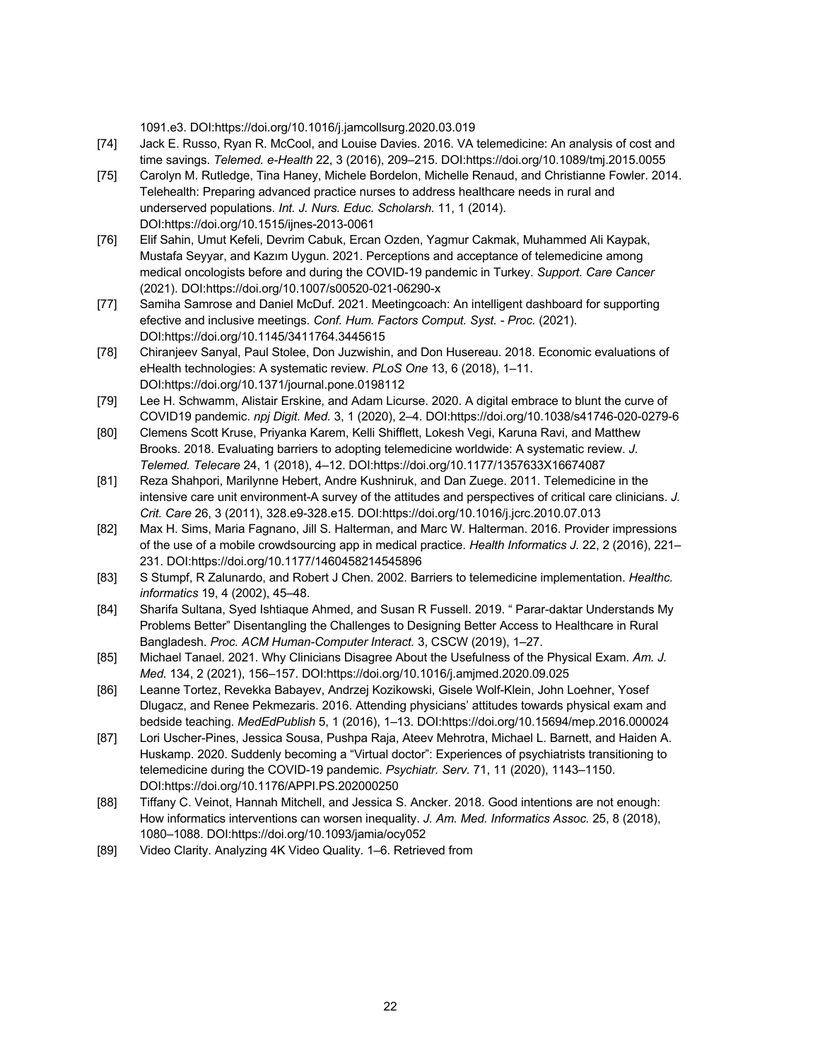1091.e3. DOI:https://doi.org/10.1016/j.jamcollsurg.2020.03.019

- [74] Jack E. Russo, Ryan R. McCool, and Louise Davies. 2016. VA telemedicine: An analysis of cost and time savings. *Telemed. e-Health* 22, 3 (2016), 209–215. DOI:https://doi.org/10.1089/tmj.2015.0055
- [75] Carolyn M. Rutledge, Tina Haney, Michele Bordelon, Michelle Renaud, and Christianne Fowler. 2014. Telehealth: Preparing advanced practice nurses to address healthcare needs in rural and underserved populations. *Int. J. Nurs. Educ. Scholarsh.* 11, 1 (2014). DOI:https://doi.org/10.1515/ijnes-2013-0061
- [76] Elif Sahin, Umut Kefeli, Devrim Cabuk, Ercan Ozden, Yagmur Cakmak, Muhammed Ali Kaypak, Mustafa Seyyar, and Kazım Uygun. 2021. Perceptions and acceptance of telemedicine among medical oncologists before and during the COVID-19 pandemic in Turkey. *Support. Care Cancer* (2021). DOI:https://doi.org/10.1007/s00520-021-06290-x
- [77] Samiha Samrose and Daniel McDuf. 2021. Meetingcoach: An intelligent dashboard for supporting efective and inclusive meetings. *Conf. Hum. Factors Comput. Syst. - Proc.* (2021). DOI:https://doi.org/10.1145/3411764.3445615
- [78] Chiranjeev Sanyal, Paul Stolee, Don Juzwishin, and Don Husereau. 2018. Economic evaluations of eHealth technologies: A systematic review. *PLoS One* 13, 6 (2018), 1–11. DOI:https://doi.org/10.1371/journal.pone.0198112
- [79] Lee H. Schwamm, Alistair Erskine, and Adam Licurse. 2020. A digital embrace to blunt the curve of COVID19 pandemic. *npj Digit. Med.* 3, 1 (2020), 2–4. DOI:https://doi.org/10.1038/s41746-020-0279-6
- [80] Clemens Scott Kruse, Priyanka Karem, Kelli Shifflett, Lokesh Vegi, Karuna Ravi, and Matthew Brooks. 2018. Evaluating barriers to adopting telemedicine worldwide: A systematic review. *J. Telemed. Telecare* 24, 1 (2018), 4–12. DOI:https://doi.org/10.1177/1357633X16674087
- [81] Reza Shahpori, Marilynne Hebert, Andre Kushniruk, and Dan Zuege. 2011. Telemedicine in the intensive care unit environment-A survey of the attitudes and perspectives of critical care clinicians. *J. Crit. Care* 26, 3 (2011), 328.e9-328.e15. DOI:https://doi.org/10.1016/j.jcrc.2010.07.013
- [82] Max H. Sims, Maria Fagnano, Jill S. Halterman, and Marc W. Halterman. 2016. Provider impressions of the use of a mobile crowdsourcing app in medical practice. *Health Informatics J.* 22, 2 (2016), 221– 231. DOI:https://doi.org/10.1177/1460458214545896
- [83] S Stumpf, R Zalunardo, and Robert J Chen. 2002. Barriers to telemedicine implementation. *Healthc. informatics* 19, 4 (2002), 45–48.
- [84] Sharifa Sultana, Syed Ishtiaque Ahmed, and Susan R Fussell. 2019. " Parar-daktar Understands My Problems Better" Disentangling the Challenges to Designing Better Access to Healthcare in Rural Bangladesh. *Proc. ACM Human-Computer Interact.* 3, CSCW (2019), 1–27.
- [85] Michael Tanael. 2021. Why Clinicians Disagree About the Usefulness of the Physical Exam. *Am. J. Med.* 134, 2 (2021), 156–157. DOI:https://doi.org/10.1016/j.amjmed.2020.09.025
- [86] Leanne Tortez, Revekka Babayev, Andrzej Kozikowski, Gisele Wolf-Klein, John Loehner, Yosef Dlugacz, and Renee Pekmezaris. 2016. Attending physicians' attitudes towards physical exam and bedside teaching. *MedEdPublish* 5, 1 (2016), 1–13. DOI:https://doi.org/10.15694/mep.2016.000024
- [87] Lori Uscher-Pines, Jessica Sousa, Pushpa Raja, Ateev Mehrotra, Michael L. Barnett, and Haiden A. Huskamp. 2020. Suddenly becoming a "Virtual doctor": Experiences of psychiatrists transitioning to telemedicine during the COVID-19 pandemic. *Psychiatr. Serv.* 71, 11 (2020), 1143–1150. DOI:https://doi.org/10.1176/APPI.PS.202000250
- [88] Tiffany C. Veinot, Hannah Mitchell, and Jessica S. Ancker. 2018. Good intentions are not enough: How informatics interventions can worsen inequality. *J. Am. Med. Informatics Assoc.* 25, 8 (2018), 1080–1088. DOI:https://doi.org/10.1093/jamia/ocy052
- [89] Video Clarity. Analyzing 4K Video Quality. 1–6. Retrieved from